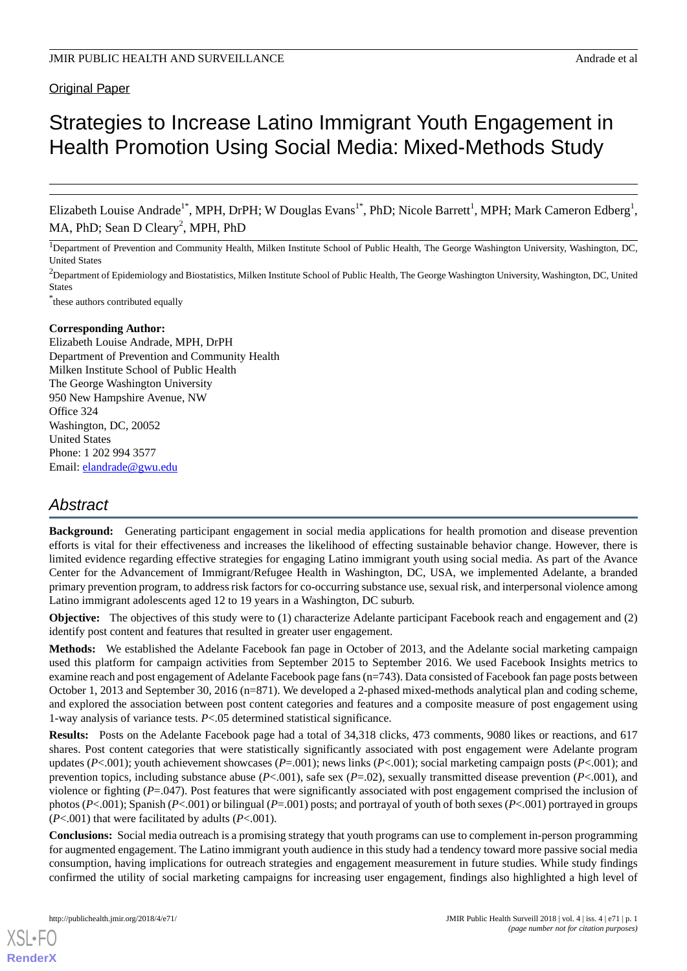# **Original Paper**

# Strategies to Increase Latino Immigrant Youth Engagement in Health Promotion Using Social Media: Mixed-Methods Study

Elizabeth Louise Andrade<sup>1\*</sup>, MPH, DrPH; W Douglas Evans<sup>1\*</sup>, PhD; Nicole Barrett<sup>1</sup>, MPH; Mark Cameron Edberg<sup>1</sup>, MA, PhD; Sean D Cleary<sup>2</sup>, MPH, PhD

<sup>1</sup>Department of Prevention and Community Health, Milken Institute School of Public Health, The George Washington University, Washington, DC, United States

<sup>2</sup>Department of Epidemiology and Biostatistics, Milken Institute School of Public Health, The George Washington University, Washington, DC, United States

\* these authors contributed equally

# **Corresponding Author:**

Elizabeth Louise Andrade, MPH, DrPH Department of Prevention and Community Health Milken Institute School of Public Health The George Washington University 950 New Hampshire Avenue, NW Office 324 Washington, DC, 20052 United States Phone: 1 202 994 3577 Email: [elandrade@gwu.edu](mailto:elandrade@gwu.edu)

# *Abstract*

**Background:** Generating participant engagement in social media applications for health promotion and disease prevention efforts is vital for their effectiveness and increases the likelihood of effecting sustainable behavior change. However, there is limited evidence regarding effective strategies for engaging Latino immigrant youth using social media. As part of the Avance Center for the Advancement of Immigrant/Refugee Health in Washington, DC, USA, we implemented Adelante, a branded primary prevention program, to address risk factors for co-occurring substance use, sexual risk, and interpersonal violence among Latino immigrant adolescents aged 12 to 19 years in a Washington, DC suburb.

**Objective:** The objectives of this study were to (1) characterize Adelante participant Facebook reach and engagement and (2) identify post content and features that resulted in greater user engagement.

**Methods:** We established the Adelante Facebook fan page in October of 2013, and the Adelante social marketing campaign used this platform for campaign activities from September 2015 to September 2016. We used Facebook Insights metrics to examine reach and post engagement of Adelante Facebook page fans (n=743). Data consisted of Facebook fan page posts between October 1, 2013 and September 30, 2016 (n=871). We developed a 2-phased mixed-methods analytical plan and coding scheme, and explored the association between post content categories and features and a composite measure of post engagement using 1-way analysis of variance tests. *P*<.05 determined statistical significance.

**Results:** Posts on the Adelante Facebook page had a total of 34,318 clicks, 473 comments, 9080 likes or reactions, and 617 shares. Post content categories that were statistically significantly associated with post engagement were Adelante program updates (*P*<.001); youth achievement showcases (*P*=.001); news links (*P*<.001); social marketing campaign posts (*P*<.001); and prevention topics, including substance abuse (*P*<.001), safe sex (*P*=.02), sexually transmitted disease prevention (*P*<.001), and violence or fighting (*P*=.047). Post features that were significantly associated with post engagement comprised the inclusion of photos (*P*<.001); Spanish (*P*<.001) or bilingual (*P*=.001) posts; and portrayal of youth of both sexes (*P*<.001) portrayed in groups  $(P<.001)$  that were facilitated by adults  $(P<.001)$ .

**Conclusions:** Social media outreach is a promising strategy that youth programs can use to complement in-person programming for augmented engagement. The Latino immigrant youth audience in this study had a tendency toward more passive social media consumption, having implications for outreach strategies and engagement measurement in future studies. While study findings confirmed the utility of social marketing campaigns for increasing user engagement, findings also highlighted a high level of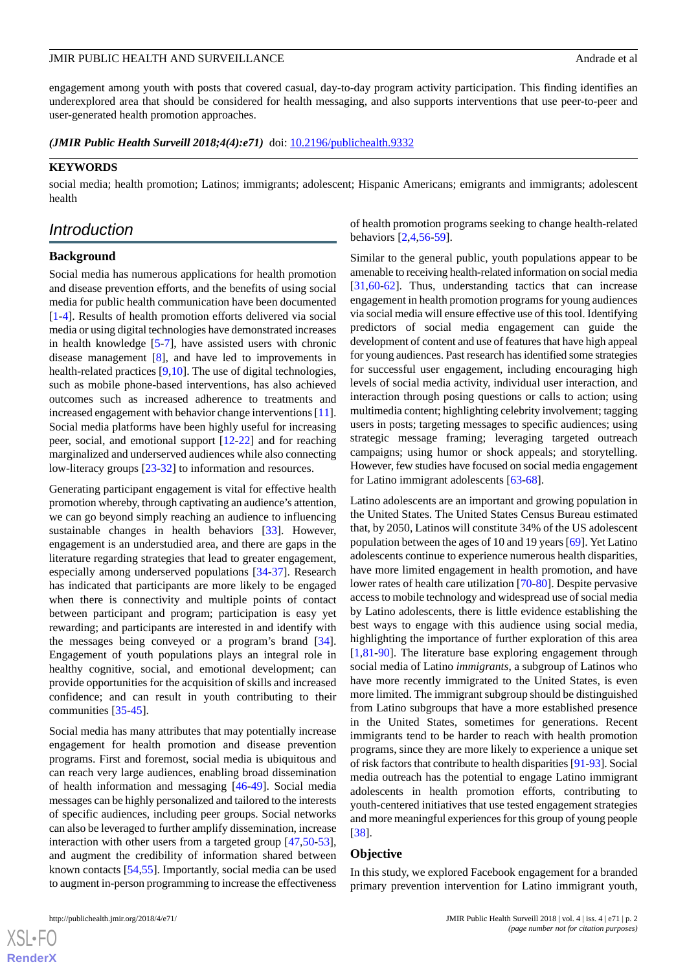engagement among youth with posts that covered casual, day-to-day program activity participation. This finding identifies an underexplored area that should be considered for health messaging, and also supports interventions that use peer-to-peer and user-generated health promotion approaches.

*(JMIR Public Health Surveill 2018;4(4):e71)* doi: **[10.2196/publichealth.9332](http://dx.doi.org/10.2196/publichealth.9332)** 

#### **KEYWORDS**

social media; health promotion; Latinos; immigrants; adolescent; Hispanic Americans; emigrants and immigrants; adolescent health

# *Introduction*

#### **Background**

Social media has numerous applications for health promotion and disease prevention efforts, and the benefits of using social media for public health communication have been documented [[1](#page-7-0)[-4](#page-7-1)]. Results of health promotion efforts delivered via social media or using digital technologies have demonstrated increases in health knowledge [\[5](#page-7-2)[-7](#page-7-3)], have assisted users with chronic disease management [\[8](#page-7-4)], and have led to improvements in health-related practices [[9](#page-7-5)[,10](#page-7-6)]. The use of digital technologies, such as mobile phone-based interventions, has also achieved outcomes such as increased adherence to treatments and increased engagement with behavior change interventions [[11\]](#page-7-7). Social media platforms have been highly useful for increasing peer, social, and emotional support [[12-](#page-7-8)[22\]](#page-8-0) and for reaching marginalized and underserved audiences while also connecting low-literacy groups [[23](#page-8-1)[-32](#page-8-2)] to information and resources.

Generating participant engagement is vital for effective health promotion whereby, through captivating an audience's attention, we can go beyond simply reaching an audience to influencing sustainable changes in health behaviors [\[33](#page-8-3)]. However, engagement is an understudied area, and there are gaps in the literature regarding strategies that lead to greater engagement, especially among underserved populations [\[34](#page-8-4)-[37\]](#page-9-0). Research has indicated that participants are more likely to be engaged when there is connectivity and multiple points of contact between participant and program; participation is easy yet rewarding; and participants are interested in and identify with the messages being conveyed or a program's brand [[34\]](#page-8-4). Engagement of youth populations plays an integral role in healthy cognitive, social, and emotional development; can provide opportunities for the acquisition of skills and increased confidence; and can result in youth contributing to their communities [\[35](#page-8-5)[-45](#page-9-1)].

Social media has many attributes that may potentially increase engagement for health promotion and disease prevention programs. First and foremost, social media is ubiquitous and can reach very large audiences, enabling broad dissemination of health information and messaging [\[46](#page-9-2)-[49\]](#page-9-3). Social media messages can be highly personalized and tailored to the interests of specific audiences, including peer groups. Social networks can also be leveraged to further amplify dissemination, increase interaction with other users from a targeted group [[47](#page-9-4)[,50](#page-9-5)-[53\]](#page-9-6), and augment the credibility of information shared between known contacts [\[54](#page-9-7),[55\]](#page-9-8). Importantly, social media can be used to augment in-person programming to increase the effectiveness

of health promotion programs seeking to change health-related behaviors [\[2](#page-7-9),[4,](#page-7-1)[56](#page-9-9)[-59](#page-9-10)].

Similar to the general public, youth populations appear to be amenable to receiving health-related information on social media [[31,](#page-8-6)[60-](#page-9-11)[62\]](#page-10-0). Thus, understanding tactics that can increase engagement in health promotion programs for young audiences via social media will ensure effective use of this tool. Identifying predictors of social media engagement can guide the development of content and use of features that have high appeal for young audiences. Past research has identified some strategies for successful user engagement, including encouraging high levels of social media activity, individual user interaction, and interaction through posing questions or calls to action; using multimedia content; highlighting celebrity involvement; tagging users in posts; targeting messages to specific audiences; using strategic message framing; leveraging targeted outreach campaigns; using humor or shock appeals; and storytelling. However, few studies have focused on social media engagement for Latino immigrant adolescents [\[63](#page-10-1)-[68\]](#page-10-2).

Latino adolescents are an important and growing population in the United States. The United States Census Bureau estimated that, by 2050, Latinos will constitute 34% of the US adolescent population between the ages of 10 and 19 years [[69\]](#page-10-3). Yet Latino adolescents continue to experience numerous health disparities, have more limited engagement in health promotion, and have lower rates of health care utilization [\[70](#page-10-4)[-80](#page-10-5)]. Despite pervasive access to mobile technology and widespread use of social media by Latino adolescents, there is little evidence establishing the best ways to engage with this audience using social media, highlighting the importance of further exploration of this area [[1](#page-7-0)[,81](#page-10-6)-[90\]](#page-11-0). The literature base exploring engagement through social media of Latino *immigrants*, a subgroup of Latinos who have more recently immigrated to the United States, is even more limited. The immigrant subgroup should be distinguished from Latino subgroups that have a more established presence in the United States, sometimes for generations. Recent immigrants tend to be harder to reach with health promotion programs, since they are more likely to experience a unique set of risk factors that contribute to health disparities [[91-](#page-11-1)[93\]](#page-11-2). Social media outreach has the potential to engage Latino immigrant adolescents in health promotion efforts, contributing to youth-centered initiatives that use tested engagement strategies and more meaningful experiences for this group of young people [[38\]](#page-9-12).

#### **Objective**

In this study, we explored Facebook engagement for a branded primary prevention intervention for Latino immigrant youth,

 $XS$  • FO **[RenderX](http://www.renderx.com/)**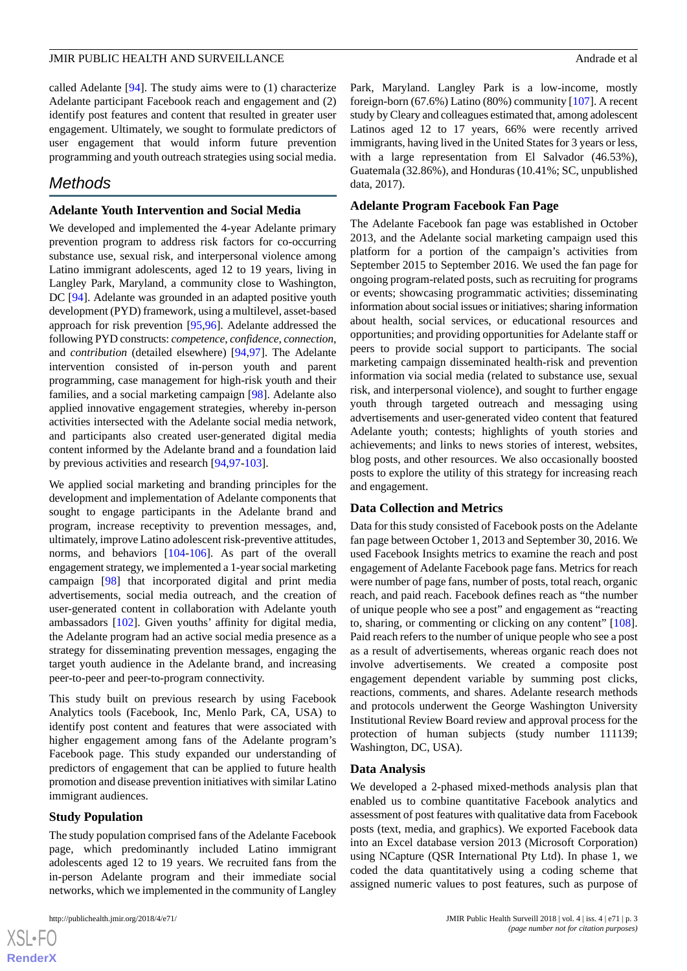called Adelante [[94\]](#page-11-3). The study aims were to (1) characterize Adelante participant Facebook reach and engagement and (2) identify post features and content that resulted in greater user engagement. Ultimately, we sought to formulate predictors of user engagement that would inform future prevention programming and youth outreach strategies using social media.

# *Methods*

# **Adelante Youth Intervention and Social Media**

We developed and implemented the 4-year Adelante primary prevention program to address risk factors for co-occurring substance use, sexual risk, and interpersonal violence among Latino immigrant adolescents, aged 12 to 19 years, living in Langley Park, Maryland, a community close to Washington, DC [\[94](#page-11-3)]. Adelante was grounded in an adapted positive youth development (PYD) framework, using a multilevel, asset-based approach for risk prevention [\[95](#page-11-4),[96\]](#page-11-5). Adelante addressed the following PYD constructs: *competence*, *confidence*, *connection*, and *contribution* (detailed elsewhere) [[94,](#page-11-3)[97](#page-11-6)]. The Adelante intervention consisted of in-person youth and parent programming, case management for high-risk youth and their families, and a social marketing campaign [\[98](#page-11-7)]. Adelante also applied innovative engagement strategies, whereby in-person activities intersected with the Adelante social media network, and participants also created user-generated digital media content informed by the Adelante brand and a foundation laid by previous activities and research [\[94](#page-11-3),[97-](#page-11-6)[103\]](#page-11-8).

We applied social marketing and branding principles for the development and implementation of Adelante components that sought to engage participants in the Adelante brand and program, increase receptivity to prevention messages, and, ultimately, improve Latino adolescent risk-preventive attitudes, norms, and behaviors [[104-](#page-11-9)[106](#page-11-10)]. As part of the overall engagement strategy, we implemented a 1-year social marketing campaign [\[98](#page-11-7)] that incorporated digital and print media advertisements, social media outreach, and the creation of user-generated content in collaboration with Adelante youth ambassadors [[102\]](#page-11-11). Given youths' affinity for digital media, the Adelante program had an active social media presence as a strategy for disseminating prevention messages, engaging the target youth audience in the Adelante brand, and increasing peer-to-peer and peer-to-program connectivity.

This study built on previous research by using Facebook Analytics tools (Facebook, Inc, Menlo Park, CA, USA) to identify post content and features that were associated with higher engagement among fans of the Adelante program's Facebook page. This study expanded our understanding of predictors of engagement that can be applied to future health promotion and disease prevention initiatives with similar Latino immigrant audiences.

# **Study Population**

The study population comprised fans of the Adelante Facebook page, which predominantly included Latino immigrant adolescents aged 12 to 19 years. We recruited fans from the in-person Adelante program and their immediate social networks, which we implemented in the community of Langley

Park, Maryland. Langley Park is a low-income, mostly foreign-born (67.6%) Latino (80%) community [\[107](#page-11-12)]. A recent study by Cleary and colleagues estimated that, among adolescent Latinos aged 12 to 17 years, 66% were recently arrived immigrants, having lived in the United States for 3 years or less, with a large representation from El Salvador (46.53%), Guatemala (32.86%), and Honduras (10.41%; SC, unpublished data, 2017).

## **Adelante Program Facebook Fan Page**

The Adelante Facebook fan page was established in October 2013, and the Adelante social marketing campaign used this platform for a portion of the campaign's activities from September 2015 to September 2016. We used the fan page for ongoing program-related posts, such as recruiting for programs or events; showcasing programmatic activities; disseminating information about social issues or initiatives; sharing information about health, social services, or educational resources and opportunities; and providing opportunities for Adelante staff or peers to provide social support to participants. The social marketing campaign disseminated health-risk and prevention information via social media (related to substance use, sexual risk, and interpersonal violence), and sought to further engage youth through targeted outreach and messaging using advertisements and user-generated video content that featured Adelante youth; contests; highlights of youth stories and achievements; and links to news stories of interest, websites, blog posts, and other resources. We also occasionally boosted posts to explore the utility of this strategy for increasing reach and engagement.

# **Data Collection and Metrics**

Data for this study consisted of Facebook posts on the Adelante fan page between October 1, 2013 and September 30, 2016. We used Facebook Insights metrics to examine the reach and post engagement of Adelante Facebook page fans. Metrics for reach were number of page fans, number of posts, total reach, organic reach, and paid reach. Facebook defines reach as "the number of unique people who see a post" and engagement as "reacting to, sharing, or commenting or clicking on any content" [[108\]](#page-11-13). Paid reach refers to the number of unique people who see a post as a result of advertisements, whereas organic reach does not involve advertisements. We created a composite post engagement dependent variable by summing post clicks, reactions, comments, and shares. Adelante research methods and protocols underwent the George Washington University Institutional Review Board review and approval process for the protection of human subjects (study number 111139; Washington, DC, USA).

#### **Data Analysis**

We developed a 2-phased mixed-methods analysis plan that enabled us to combine quantitative Facebook analytics and assessment of post features with qualitative data from Facebook posts (text, media, and graphics). We exported Facebook data into an Excel database version 2013 (Microsoft Corporation) using NCapture (QSR International Pty Ltd). In phase 1, we coded the data quantitatively using a coding scheme that assigned numeric values to post features, such as purpose of

 $XS$  $\cdot$ FC **[RenderX](http://www.renderx.com/)**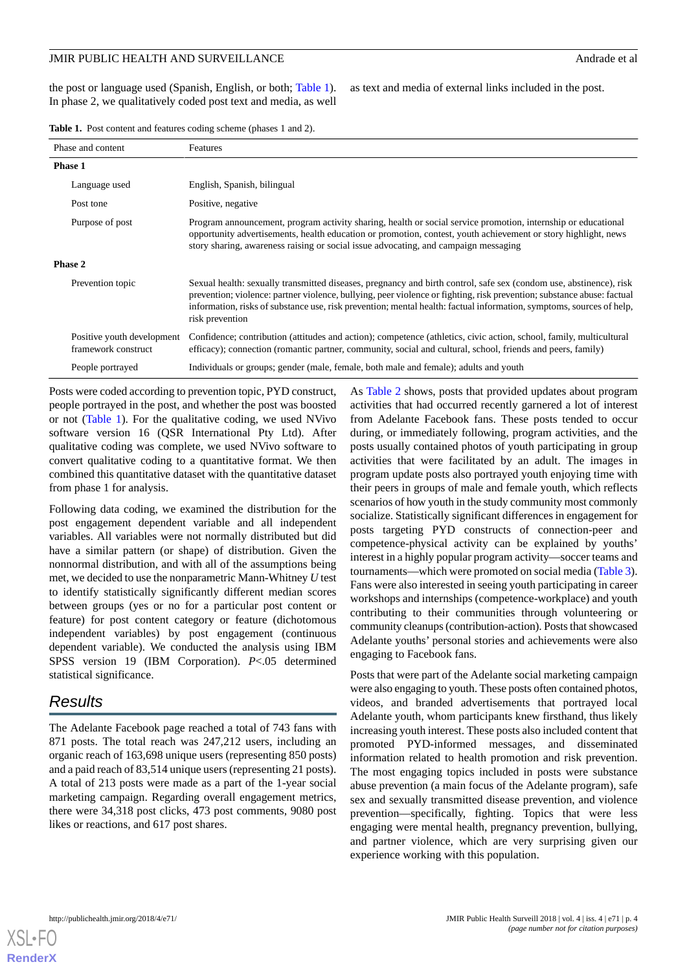## JMIR PUBLIC HEALTH AND SURVEILLANCE Andrew and the state of all the state of all the state of all the state of all the state of all the state of all the state of all the state of all the state of all the state of all the s

the post or language used (Spanish, English, or both; [Table 1\)](#page-3-0). In phase 2, we qualitatively coded post text and media, as well

as text and media of external links included in the post.

<span id="page-3-0"></span>

| <b>Table 1.</b> Post content and features coding scheme (phases 1 and 2). |  |
|---------------------------------------------------------------------------|--|
|---------------------------------------------------------------------------|--|

| Phase and content                                 | Features                                                                                                                                                                                                                                                                                                                                                                                |
|---------------------------------------------------|-----------------------------------------------------------------------------------------------------------------------------------------------------------------------------------------------------------------------------------------------------------------------------------------------------------------------------------------------------------------------------------------|
| <b>Phase 1</b>                                    |                                                                                                                                                                                                                                                                                                                                                                                         |
| Language used                                     | English, Spanish, bilingual                                                                                                                                                                                                                                                                                                                                                             |
| Post tone                                         | Positive, negative                                                                                                                                                                                                                                                                                                                                                                      |
| Purpose of post                                   | Program announcement, program activity sharing, health or social service promotion, internship or educational<br>opportunity advertisements, health education or promotion, contest, youth achievement or story highlight, news<br>story sharing, awareness raising or social issue advocating, and campaign messaging                                                                  |
| Phase 2                                           |                                                                                                                                                                                                                                                                                                                                                                                         |
| Prevention topic                                  | Sexual health: sexually transmitted diseases, pregnancy and birth control, safe sex (condom use, abstinence), risk<br>prevention; violence: partner violence, bullying, peer violence or fighting, risk prevention; substance abuse: factual<br>information, risks of substance use, risk prevention; mental health: factual information, symptoms, sources of help,<br>risk prevention |
| Positive youth development<br>framework construct | Confidence; contribution (attitudes and action); competence (athletics, civic action, school, family, multicultural<br>efficacy); connection (romantic partner, community, social and cultural, school, friends and peers, family)                                                                                                                                                      |
| People portrayed                                  | Individuals or groups; gender (male, female, both male and female); adults and youth                                                                                                                                                                                                                                                                                                    |

Posts were coded according to prevention topic, PYD construct, people portrayed in the post, and whether the post was boosted or not ([Table 1](#page-3-0)). For the qualitative coding, we used NVivo software version 16 (QSR International Pty Ltd). After qualitative coding was complete, we used NVivo software to convert qualitative coding to a quantitative format. We then combined this quantitative dataset with the quantitative dataset from phase 1 for analysis.

Following data coding, we examined the distribution for the post engagement dependent variable and all independent variables. All variables were not normally distributed but did have a similar pattern (or shape) of distribution. Given the nonnormal distribution, and with all of the assumptions being met, we decided to use the nonparametric Mann-Whitney *U* test to identify statistically significantly different median scores between groups (yes or no for a particular post content or feature) for post content category or feature (dichotomous independent variables) by post engagement (continuous dependent variable). We conducted the analysis using IBM SPSS version 19 (IBM Corporation). *P*<.05 determined statistical significance.

# *Results*

The Adelante Facebook page reached a total of 743 fans with 871 posts. The total reach was 247,212 users, including an organic reach of 163,698 unique users (representing 850 posts) and a paid reach of 83,514 unique users (representing 21 posts). A total of 213 posts were made as a part of the 1-year social marketing campaign. Regarding overall engagement metrics, there were 34,318 post clicks, 473 post comments, 9080 post likes or reactions, and 617 post shares.

As [Table 2](#page-4-0) shows, posts that provided updates about program activities that had occurred recently garnered a lot of interest from Adelante Facebook fans. These posts tended to occur during, or immediately following, program activities, and the posts usually contained photos of youth participating in group activities that were facilitated by an adult. The images in program update posts also portrayed youth enjoying time with their peers in groups of male and female youth, which reflects scenarios of how youth in the study community most commonly socialize. Statistically significant differences in engagement for posts targeting PYD constructs of connection-peer and competence-physical activity can be explained by youths' interest in a highly popular program activity—soccer teams and tournaments—which were promoted on social media [\(Table 3\)](#page-5-0). Fans were also interested in seeing youth participating in career workshops and internships (competence-workplace) and youth contributing to their communities through volunteering or community cleanups (contribution-action). Posts that showcased Adelante youths' personal stories and achievements were also engaging to Facebook fans.

Posts that were part of the Adelante social marketing campaign were also engaging to youth. These posts often contained photos, videos, and branded advertisements that portrayed local Adelante youth, whom participants knew firsthand, thus likely increasing youth interest. These posts also included content that promoted PYD-informed messages, and disseminated information related to health promotion and risk prevention. The most engaging topics included in posts were substance abuse prevention (a main focus of the Adelante program), safe sex and sexually transmitted disease prevention, and violence prevention—specifically, fighting. Topics that were less engaging were mental health, pregnancy prevention, bullying, and partner violence, which are very surprising given our experience working with this population.

**[RenderX](http://www.renderx.com/)**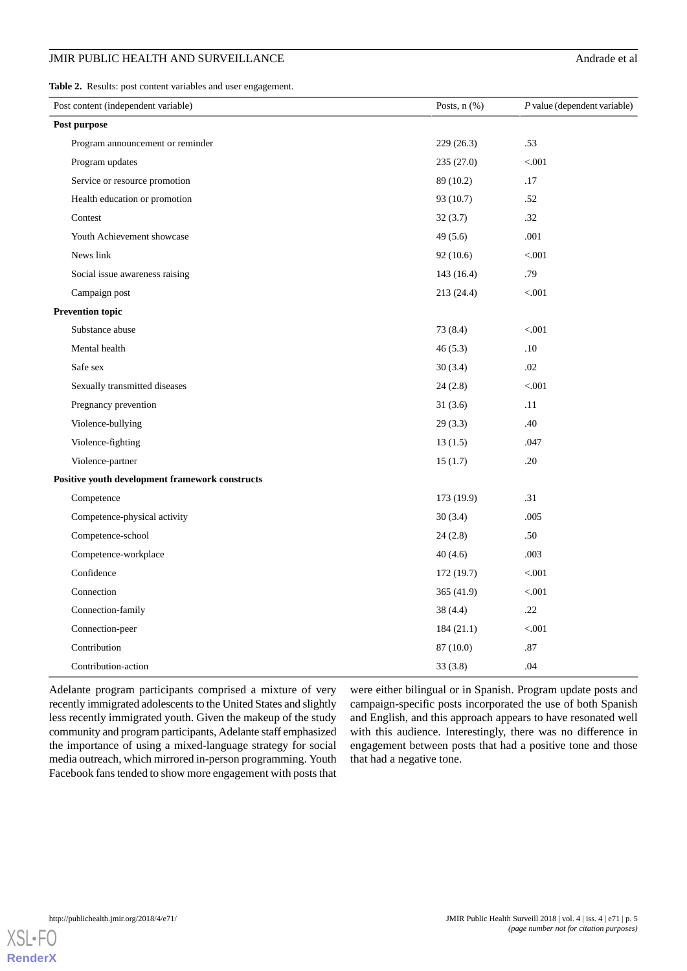<span id="page-4-0"></span>**Table 2.** Results: post content variables and user engagement.

| Post purpose                                    | 229(26.3)  |         |
|-------------------------------------------------|------------|---------|
|                                                 |            |         |
| Program announcement or reminder                |            | .53     |
| Program updates                                 | 235(27.0)  | < 0.001 |
| Service or resource promotion                   | 89 (10.2)  | .17     |
| Health education or promotion                   | 93 (10.7)  | .52     |
| Contest                                         | 32(3.7)    | .32     |
| Youth Achievement showcase                      | 49(5.6)    | .001    |
| News link                                       | 92(10.6)   | < 0.001 |
| Social issue awareness raising                  | 143 (16.4) | .79     |
| Campaign post                                   | 213 (24.4) | < .001  |
| <b>Prevention topic</b>                         |            |         |
| Substance abuse                                 | 73 (8.4)   | < .001  |
| Mental health                                   | 46(5.3)    | .10     |
| Safe sex                                        | 30(3.4)    | .02     |
| Sexually transmitted diseases                   | 24(2.8)    | < 0.001 |
| Pregnancy prevention                            | 31(3.6)    | .11     |
| Violence-bullying                               | 29(3.3)    | .40     |
| Violence-fighting                               | 13(1.5)    | .047    |
| Violence-partner                                | 15(1.7)    | .20     |
| Positive youth development framework constructs |            |         |
| Competence                                      | 173 (19.9) | .31     |
| Competence-physical activity                    | 30(3.4)    | .005    |
| Competence-school                               | 24(2.8)    | .50     |
| Competence-workplace                            | 40(4.6)    | .003    |
| Confidence                                      | 172(19.7)  | < .001  |
| Connection                                      | 365 (41.9) | < .001  |
| Connection-family                               | 38(4.4)    | .22     |
| Connection-peer                                 | 184(21.1)  | < .001  |
| Contribution                                    | 87 (10.0)  | .87     |
| Contribution-action                             | 33(3.8)    | .04     |

Adelante program participants comprised a mixture of very recently immigrated adolescents to the United States and slightly less recently immigrated youth. Given the makeup of the study community and program participants, Adelante staff emphasized the importance of using a mixed-language strategy for social media outreach, which mirrored in-person programming. Youth Facebook fans tended to show more engagement with posts that

were either bilingual or in Spanish. Program update posts and campaign-specific posts incorporated the use of both Spanish and English, and this approach appears to have resonated well with this audience. Interestingly, there was no difference in engagement between posts that had a positive tone and those that had a negative tone.

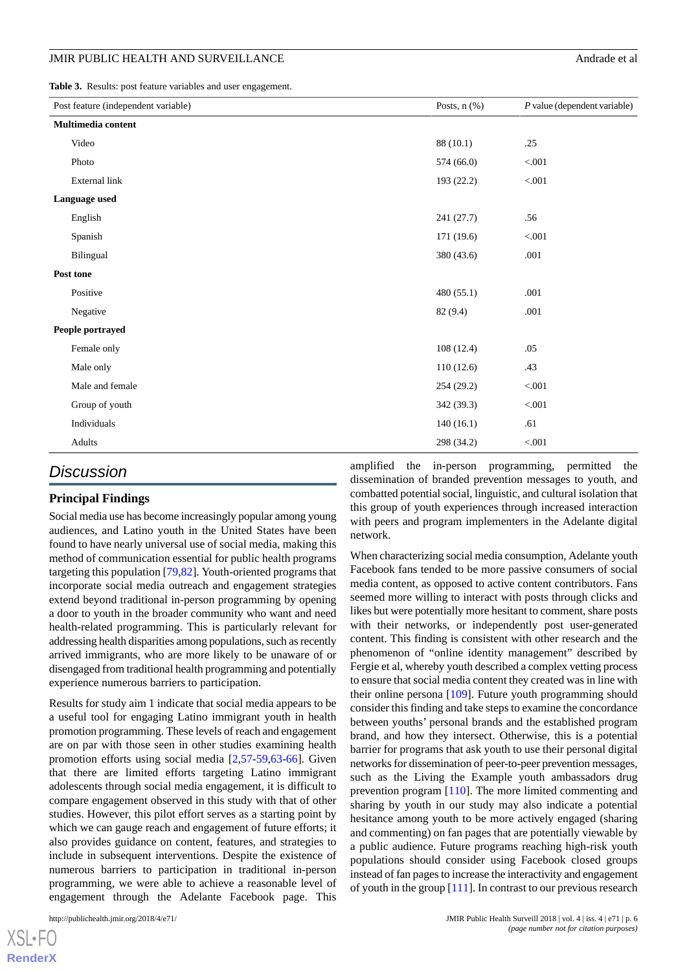#### JMIR PUBLIC HEALTH AND SURVEILLANCE Andrew and the state of all the state of all the state of all the state of all the state of all the state of all the state of all the state of all the state of all the state of all the s

<span id="page-5-0"></span>**Table 3.** Results: post feature variables and user engagement.

| Post feature (independent variable) | Posts, $n$ $(\%)$ | $P$ value (dependent variable) |
|-------------------------------------|-------------------|--------------------------------|
| Multimedia content                  |                   |                                |
| Video                               | 88 (10.1)         | .25                            |
| Photo                               | 574 (66.0)        | $< 001$                        |
| External link                       | 193 (22.2)        | $< 001$                        |
| Language used                       |                   |                                |
| English                             | 241 (27.7)        | .56                            |
| Spanish                             | 171 (19.6)        | < 0.001                        |
| Bilingual                           | 380 (43.6)        | .001                           |
| Post tone                           |                   |                                |
| Positive                            | 480 (55.1)        | .001                           |
| Negative                            | 82 (9.4)          | .001                           |
| People portrayed                    |                   |                                |
| Female only                         | 108(12.4)         | .05                            |
| Male only                           | 110(12.6)         | .43                            |
| Male and female                     | 254(29.2)         | $< 001$                        |
| Group of youth                      | 342 (39.3)        | $< 001$                        |
| Individuals                         | 140(16.1)         | .61                            |
| Adults                              | 298 (34.2)        | < 0.001                        |

# *Discussion*

## **Principal Findings**

Social media use has become increasingly popular among young audiences, and Latino youth in the United States have been found to have nearly universal use of social media, making this method of communication essential for public health programs targeting this population [\[79](#page-10-7),[82\]](#page-10-8). Youth-oriented programs that incorporate social media outreach and engagement strategies extend beyond traditional in-person programming by opening a door to youth in the broader community who want and need health-related programming. This is particularly relevant for addressing health disparities among populations, such as recently arrived immigrants, who are more likely to be unaware of or disengaged from traditional health programming and potentially experience numerous barriers to participation.

Results for study aim 1 indicate that social media appears to be a useful tool for engaging Latino immigrant youth in health promotion programming. These levels of reach and engagement are on par with those seen in other studies examining health promotion efforts using social media [\[2](#page-7-9),[57](#page-9-13)[-59](#page-9-10),[63-](#page-10-1)[66](#page-10-9)]. Given that there are limited efforts targeting Latino immigrant adolescents through social media engagement, it is difficult to compare engagement observed in this study with that of other studies. However, this pilot effort serves as a starting point by which we can gauge reach and engagement of future efforts; it also provides guidance on content, features, and strategies to include in subsequent interventions. Despite the existence of numerous barriers to participation in traditional in-person programming, we were able to achieve a reasonable level of engagement through the Adelante Facebook page. This

amplified the in-person programming, permitted the dissemination of branded prevention messages to youth, and combatted potential social, linguistic, and cultural isolation that this group of youth experiences through increased interaction with peers and program implementers in the Adelante digital network.

When characterizing social media consumption, Adelante youth Facebook fans tended to be more passive consumers of social media content, as opposed to active content contributors. Fans seemed more willing to interact with posts through clicks and likes but were potentially more hesitant to comment, share posts with their networks, or independently post user-generated content. This finding is consistent with other research and the phenomenon of "online identity management" described by Fergie et al, whereby youth described a complex vetting process to ensure that social media content they created was in line with their online persona [\[109](#page-11-14)]. Future youth programming should consider this finding and take steps to examine the concordance between youths' personal brands and the established program brand, and how they intersect. Otherwise, this is a potential barrier for programs that ask youth to use their personal digital networks for dissemination of peer-to-peer prevention messages, such as the Living the Example youth ambassadors drug prevention program [[110\]](#page-12-0). The more limited commenting and sharing by youth in our study may also indicate a potential hesitance among youth to be more actively engaged (sharing and commenting) on fan pages that are potentially viewable by a public audience. Future programs reaching high-risk youth populations should consider using Facebook closed groups instead of fan pages to increase the interactivity and engagement of youth in the group [\[111](#page-12-1)]. In contrast to our previous research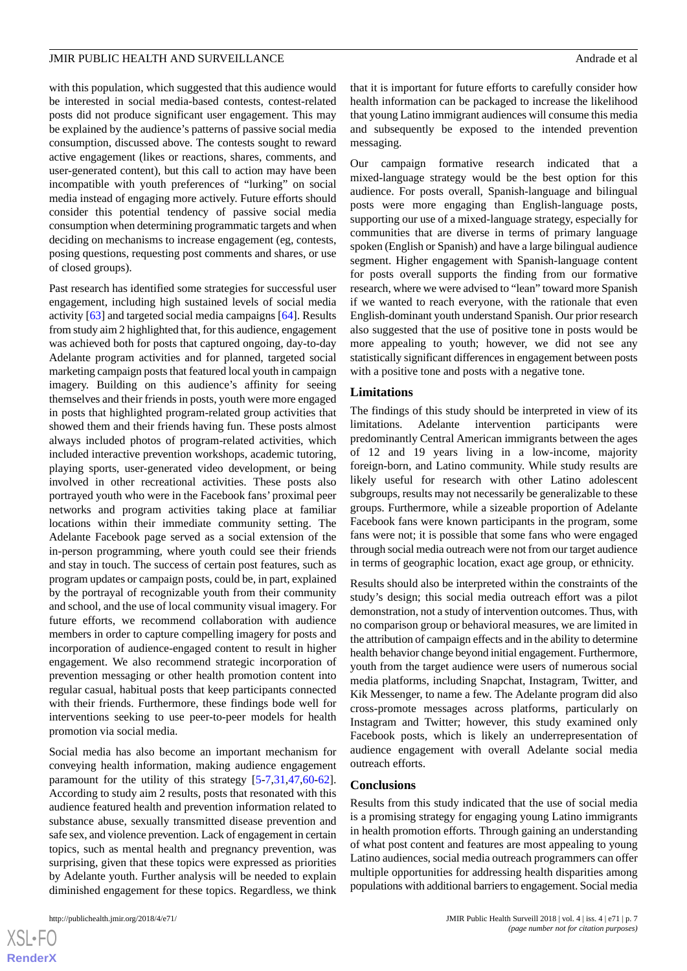with this population, which suggested that this audience would be interested in social media-based contests, contest-related posts did not produce significant user engagement. This may be explained by the audience's patterns of passive social media consumption, discussed above. The contests sought to reward active engagement (likes or reactions, shares, comments, and user-generated content), but this call to action may have been incompatible with youth preferences of "lurking" on social media instead of engaging more actively. Future efforts should consider this potential tendency of passive social media consumption when determining programmatic targets and when deciding on mechanisms to increase engagement (eg, contests, posing questions, requesting post comments and shares, or use of closed groups).

Past research has identified some strategies for successful user engagement, including high sustained levels of social media activity [[63\]](#page-10-1) and targeted social media campaigns [\[64](#page-10-10)]. Results from study aim 2 highlighted that, for this audience, engagement was achieved both for posts that captured ongoing, day-to-day Adelante program activities and for planned, targeted social marketing campaign posts that featured local youth in campaign imagery. Building on this audience's affinity for seeing themselves and their friends in posts, youth were more engaged in posts that highlighted program-related group activities that showed them and their friends having fun. These posts almost always included photos of program-related activities, which included interactive prevention workshops, academic tutoring, playing sports, user-generated video development, or being involved in other recreational activities. These posts also portrayed youth who were in the Facebook fans' proximal peer networks and program activities taking place at familiar locations within their immediate community setting. The Adelante Facebook page served as a social extension of the in-person programming, where youth could see their friends and stay in touch. The success of certain post features, such as program updates or campaign posts, could be, in part, explained by the portrayal of recognizable youth from their community and school, and the use of local community visual imagery. For future efforts, we recommend collaboration with audience members in order to capture compelling imagery for posts and incorporation of audience-engaged content to result in higher engagement. We also recommend strategic incorporation of prevention messaging or other health promotion content into regular casual, habitual posts that keep participants connected with their friends. Furthermore, these findings bode well for interventions seeking to use peer-to-peer models for health promotion via social media.

Social media has also become an important mechanism for conveying health information, making audience engagement paramount for the utility of this strategy [[5-](#page-7-2)[7,](#page-7-3)[31,](#page-8-6)[47](#page-9-4)[,60](#page-9-11)-[62\]](#page-10-0). According to study aim 2 results, posts that resonated with this audience featured health and prevention information related to substance abuse, sexually transmitted disease prevention and safe sex, and violence prevention. Lack of engagement in certain topics, such as mental health and pregnancy prevention, was surprising, given that these topics were expressed as priorities by Adelante youth. Further analysis will be needed to explain diminished engagement for these topics. Regardless, we think

 $XS$ -FO **[RenderX](http://www.renderx.com/)**

that it is important for future efforts to carefully consider how health information can be packaged to increase the likelihood that young Latino immigrant audiences will consume this media and subsequently be exposed to the intended prevention messaging.

Our campaign formative research indicated that a mixed-language strategy would be the best option for this audience. For posts overall, Spanish-language and bilingual posts were more engaging than English-language posts, supporting our use of a mixed-language strategy, especially for communities that are diverse in terms of primary language spoken (English or Spanish) and have a large bilingual audience segment. Higher engagement with Spanish-language content for posts overall supports the finding from our formative research, where we were advised to "lean" toward more Spanish if we wanted to reach everyone, with the rationale that even English-dominant youth understand Spanish. Our prior research also suggested that the use of positive tone in posts would be more appealing to youth; however, we did not see any statistically significant differences in engagement between posts with a positive tone and posts with a negative tone.

#### **Limitations**

The findings of this study should be interpreted in view of its limitations. Adelante intervention participants were predominantly Central American immigrants between the ages of 12 and 19 years living in a low-income, majority foreign-born, and Latino community. While study results are likely useful for research with other Latino adolescent subgroups, results may not necessarily be generalizable to these groups. Furthermore, while a sizeable proportion of Adelante Facebook fans were known participants in the program, some fans were not; it is possible that some fans who were engaged through social media outreach were not from our target audience in terms of geographic location, exact age group, or ethnicity.

Results should also be interpreted within the constraints of the study's design; this social media outreach effort was a pilot demonstration, not a study of intervention outcomes. Thus, with no comparison group or behavioral measures, we are limited in the attribution of campaign effects and in the ability to determine health behavior change beyond initial engagement. Furthermore, youth from the target audience were users of numerous social media platforms, including Snapchat, Instagram, Twitter, and Kik Messenger, to name a few. The Adelante program did also cross-promote messages across platforms, particularly on Instagram and Twitter; however, this study examined only Facebook posts, which is likely an underrepresentation of audience engagement with overall Adelante social media outreach efforts.

#### **Conclusions**

Results from this study indicated that the use of social media is a promising strategy for engaging young Latino immigrants in health promotion efforts. Through gaining an understanding of what post content and features are most appealing to young Latino audiences, social media outreach programmers can offer multiple opportunities for addressing health disparities among populations with additional barriers to engagement. Social media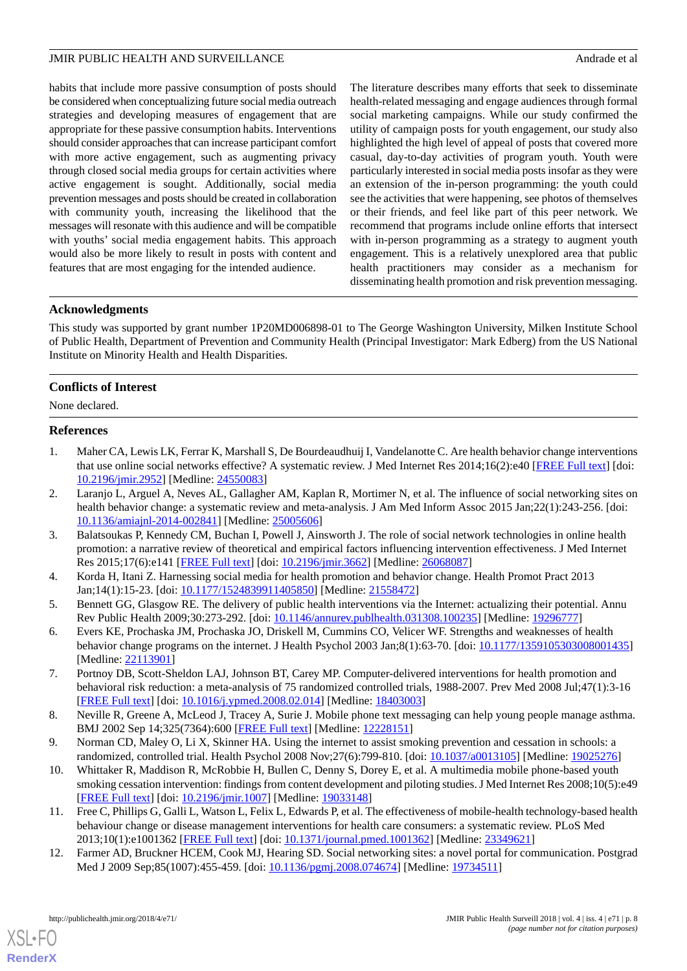habits that include more passive consumption of posts should be considered when conceptualizing future social media outreach strategies and developing measures of engagement that are appropriate for these passive consumption habits. Interventions should consider approaches that can increase participant comfort with more active engagement, such as augmenting privacy through closed social media groups for certain activities where active engagement is sought. Additionally, social media prevention messages and posts should be created in collaboration with community youth, increasing the likelihood that the messages will resonate with this audience and will be compatible with youths' social media engagement habits. This approach would also be more likely to result in posts with content and features that are most engaging for the intended audience.

The literature describes many efforts that seek to disseminate health-related messaging and engage audiences through formal social marketing campaigns. While our study confirmed the utility of campaign posts for youth engagement, our study also highlighted the high level of appeal of posts that covered more casual, day-to-day activities of program youth. Youth were particularly interested in social media posts insofar as they were an extension of the in-person programming: the youth could see the activities that were happening, see photos of themselves or their friends, and feel like part of this peer network. We recommend that programs include online efforts that intersect with in-person programming as a strategy to augment youth engagement. This is a relatively unexplored area that public health practitioners may consider as a mechanism for disseminating health promotion and risk prevention messaging.

# **Acknowledgments**

This study was supported by grant number 1P20MD006898-01 to The George Washington University, Milken Institute School of Public Health, Department of Prevention and Community Health (Principal Investigator: Mark Edberg) from the US National Institute on Minority Health and Health Disparities.

# **Conflicts of Interest**

<span id="page-7-0"></span>None declared.

# **References**

- <span id="page-7-9"></span>1. Maher CA, Lewis LK, Ferrar K, Marshall S, De Bourdeaudhuij I, Vandelanotte C. Are health behavior change interventions that use online social networks effective? A systematic review. J Med Internet Res 2014;16(2):e40 [[FREE Full text](http://www.jmir.org/2014/2/e40/)] [doi: [10.2196/jmir.2952](http://dx.doi.org/10.2196/jmir.2952)] [Medline: [24550083](http://www.ncbi.nlm.nih.gov/entrez/query.fcgi?cmd=Retrieve&db=PubMed&list_uids=24550083&dopt=Abstract)]
- 2. Laranjo L, Arguel A, Neves AL, Gallagher AM, Kaplan R, Mortimer N, et al. The influence of social networking sites on health behavior change: a systematic review and meta-analysis. J Am Med Inform Assoc 2015 Jan;22(1):243-256. [doi: [10.1136/amiajnl-2014-002841](http://dx.doi.org/10.1136/amiajnl-2014-002841)] [Medline: [25005606](http://www.ncbi.nlm.nih.gov/entrez/query.fcgi?cmd=Retrieve&db=PubMed&list_uids=25005606&dopt=Abstract)]
- <span id="page-7-2"></span><span id="page-7-1"></span>3. Balatsoukas P, Kennedy CM, Buchan I, Powell J, Ainsworth J. The role of social network technologies in online health promotion: a narrative review of theoretical and empirical factors influencing intervention effectiveness. J Med Internet Res 2015;17(6):e141 [\[FREE Full text\]](http://www.jmir.org/2015/6/e141/) [doi: [10.2196/jmir.3662](http://dx.doi.org/10.2196/jmir.3662)] [Medline: [26068087\]](http://www.ncbi.nlm.nih.gov/entrez/query.fcgi?cmd=Retrieve&db=PubMed&list_uids=26068087&dopt=Abstract)
- 4. Korda H, Itani Z. Harnessing social media for health promotion and behavior change. Health Promot Pract 2013 Jan;14(1):15-23. [doi: [10.1177/1524839911405850](http://dx.doi.org/10.1177/1524839911405850)] [Medline: [21558472\]](http://www.ncbi.nlm.nih.gov/entrez/query.fcgi?cmd=Retrieve&db=PubMed&list_uids=21558472&dopt=Abstract)
- <span id="page-7-3"></span>5. Bennett GG, Glasgow RE. The delivery of public health interventions via the Internet: actualizing their potential. Annu Rev Public Health 2009;30:273-292. [doi: [10.1146/annurev.publhealth.031308.100235\]](http://dx.doi.org/10.1146/annurev.publhealth.031308.100235) [Medline: [19296777\]](http://www.ncbi.nlm.nih.gov/entrez/query.fcgi?cmd=Retrieve&db=PubMed&list_uids=19296777&dopt=Abstract)
- <span id="page-7-4"></span>6. Evers KE, Prochaska JM, Prochaska JO, Driskell M, Cummins CO, Velicer WF. Strengths and weaknesses of health behavior change programs on the internet. J Health Psychol 2003 Jan;8(1):63-70. [doi: [10.1177/1359105303008001435](http://dx.doi.org/10.1177/1359105303008001435)] [Medline: [22113901](http://www.ncbi.nlm.nih.gov/entrez/query.fcgi?cmd=Retrieve&db=PubMed&list_uids=22113901&dopt=Abstract)]
- <span id="page-7-5"></span>7. Portnoy DB, Scott-Sheldon LAJ, Johnson BT, Carey MP. Computer-delivered interventions for health promotion and behavioral risk reduction: a meta-analysis of 75 randomized controlled trials, 1988-2007. Prev Med 2008 Jul;47(1):3-16 [[FREE Full text](http://europepmc.org/abstract/MED/18403003)] [doi: [10.1016/j.ypmed.2008.02.014\]](http://dx.doi.org/10.1016/j.ypmed.2008.02.014) [Medline: [18403003\]](http://www.ncbi.nlm.nih.gov/entrez/query.fcgi?cmd=Retrieve&db=PubMed&list_uids=18403003&dopt=Abstract)
- <span id="page-7-6"></span>8. Neville R, Greene A, McLeod J, Tracey A, Surie J. Mobile phone text messaging can help young people manage asthma. BMJ 2002 Sep 14;325(7364):600 [\[FREE Full text\]](http://europepmc.org/abstract/MED/12228151) [Medline: [12228151\]](http://www.ncbi.nlm.nih.gov/entrez/query.fcgi?cmd=Retrieve&db=PubMed&list_uids=12228151&dopt=Abstract)
- <span id="page-7-7"></span>9. Norman CD, Maley O, Li X, Skinner HA. Using the internet to assist smoking prevention and cessation in schools: a randomized, controlled trial. Health Psychol 2008 Nov;27(6):799-810. [doi: [10.1037/a0013105\]](http://dx.doi.org/10.1037/a0013105) [Medline: [19025276](http://www.ncbi.nlm.nih.gov/entrez/query.fcgi?cmd=Retrieve&db=PubMed&list_uids=19025276&dopt=Abstract)]
- <span id="page-7-8"></span>10. Whittaker R, Maddison R, McRobbie H, Bullen C, Denny S, Dorey E, et al. A multimedia mobile phone-based youth smoking cessation intervention: findings from content development and piloting studies. J Med Internet Res 2008;10(5):e49 [[FREE Full text](http://www.jmir.org/2008/5/e49/)] [doi: [10.2196/jmir.1007](http://dx.doi.org/10.2196/jmir.1007)] [Medline: [19033148](http://www.ncbi.nlm.nih.gov/entrez/query.fcgi?cmd=Retrieve&db=PubMed&list_uids=19033148&dopt=Abstract)]
- 11. Free C, Phillips G, Galli L, Watson L, Felix L, Edwards P, et al. The effectiveness of mobile-health technology-based health behaviour change or disease management interventions for health care consumers: a systematic review. PLoS Med 2013;10(1):e1001362 [\[FREE Full text](http://dx.plos.org/10.1371/journal.pmed.1001362)] [doi: [10.1371/journal.pmed.1001362](http://dx.doi.org/10.1371/journal.pmed.1001362)] [Medline: [23349621](http://www.ncbi.nlm.nih.gov/entrez/query.fcgi?cmd=Retrieve&db=PubMed&list_uids=23349621&dopt=Abstract)]
- 12. Farmer AD, Bruckner HCEM, Cook MJ, Hearing SD. Social networking sites: a novel portal for communication. Postgrad Med J 2009 Sep;85(1007):455-459. [doi: [10.1136/pgmj.2008.074674](http://dx.doi.org/10.1136/pgmj.2008.074674)] [Medline: [19734511\]](http://www.ncbi.nlm.nih.gov/entrez/query.fcgi?cmd=Retrieve&db=PubMed&list_uids=19734511&dopt=Abstract)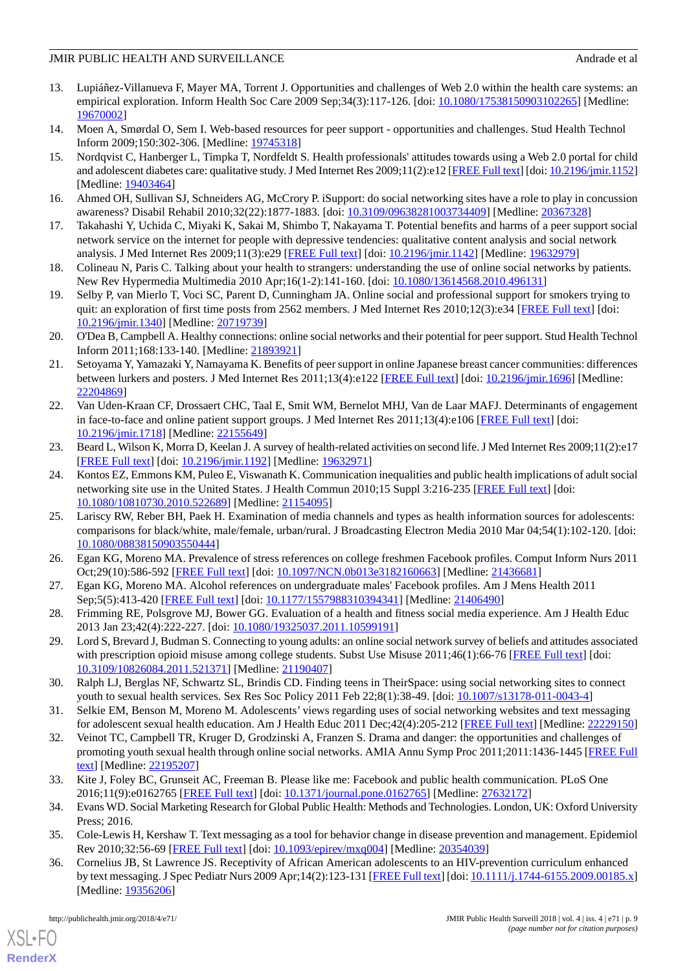- 13. Lupiáñez-Villanueva F, Mayer MA, Torrent J. Opportunities and challenges of Web 2.0 within the health care systems: an empirical exploration. Inform Health Soc Care 2009 Sep;34(3):117-126. [doi: [10.1080/17538150903102265](http://dx.doi.org/10.1080/17538150903102265)] [Medline: [19670002](http://www.ncbi.nlm.nih.gov/entrez/query.fcgi?cmd=Retrieve&db=PubMed&list_uids=19670002&dopt=Abstract)]
- 14. Moen A, Smørdal O, Sem I. Web-based resources for peer support opportunities and challenges. Stud Health Technol Inform 2009;150:302-306. [Medline: [19745318\]](http://www.ncbi.nlm.nih.gov/entrez/query.fcgi?cmd=Retrieve&db=PubMed&list_uids=19745318&dopt=Abstract)
- 15. Nordqvist C, Hanberger L, Timpka T, Nordfeldt S. Health professionals' attitudes towards using a Web 2.0 portal for child and adolescent diabetes care: qualitative study. J Med Internet Res 2009;11(2):e12 [[FREE Full text\]](http://www.jmir.org/2009/2/e12/) [doi: [10.2196/jmir.1152\]](http://dx.doi.org/10.2196/jmir.1152) [Medline: [19403464](http://www.ncbi.nlm.nih.gov/entrez/query.fcgi?cmd=Retrieve&db=PubMed&list_uids=19403464&dopt=Abstract)]
- 16. Ahmed OH, Sullivan SJ, Schneiders AG, McCrory P. iSupport: do social networking sites have a role to play in concussion awareness? Disabil Rehabil 2010;32(22):1877-1883. [doi: [10.3109/09638281003734409\]](http://dx.doi.org/10.3109/09638281003734409) [Medline: [20367328](http://www.ncbi.nlm.nih.gov/entrez/query.fcgi?cmd=Retrieve&db=PubMed&list_uids=20367328&dopt=Abstract)]
- 17. Takahashi Y, Uchida C, Miyaki K, Sakai M, Shimbo T, Nakayama T. Potential benefits and harms of a peer support social network service on the internet for people with depressive tendencies: qualitative content analysis and social network analysis. J Med Internet Res 2009;11(3):e29 [[FREE Full text\]](http://www.jmir.org/2009/3/e29/) [doi: [10.2196/jmir.1142](http://dx.doi.org/10.2196/jmir.1142)] [Medline: [19632979\]](http://www.ncbi.nlm.nih.gov/entrez/query.fcgi?cmd=Retrieve&db=PubMed&list_uids=19632979&dopt=Abstract)
- 18. Colineau N, Paris C. Talking about your health to strangers: understanding the use of online social networks by patients. New Rev Hypermedia Multimedia 2010 Apr;16(1-2):141-160. [doi: [10.1080/13614568.2010.496131\]](http://dx.doi.org/10.1080/13614568.2010.496131)
- 19. Selby P, van Mierlo T, Voci SC, Parent D, Cunningham JA. Online social and professional support for smokers trying to quit: an exploration of first time posts from 2562 members. J Med Internet Res 2010;12(3):e34 [[FREE Full text](http://www.jmir.org/2010/3/e34/)] [doi: [10.2196/jmir.1340](http://dx.doi.org/10.2196/jmir.1340)] [Medline: [20719739](http://www.ncbi.nlm.nih.gov/entrez/query.fcgi?cmd=Retrieve&db=PubMed&list_uids=20719739&dopt=Abstract)]
- 20. O'Dea B, Campbell A. Healthy connections: online social networks and their potential for peer support. Stud Health Technol Inform 2011;168:133-140. [Medline: [21893921\]](http://www.ncbi.nlm.nih.gov/entrez/query.fcgi?cmd=Retrieve&db=PubMed&list_uids=21893921&dopt=Abstract)
- <span id="page-8-0"></span>21. Setoyama Y, Yamazaki Y, Namayama K. Benefits of peer support in online Japanese breast cancer communities: differences between lurkers and posters. J Med Internet Res 2011;13(4):e122 [[FREE Full text](http://www.jmir.org/2011/4/e122/)] [doi: [10.2196/jmir.1696](http://dx.doi.org/10.2196/jmir.1696)] [Medline: [22204869](http://www.ncbi.nlm.nih.gov/entrez/query.fcgi?cmd=Retrieve&db=PubMed&list_uids=22204869&dopt=Abstract)]
- <span id="page-8-1"></span>22. Van Uden-Kraan CF, Drossaert CHC, Taal E, Smit WM, Bernelot MHJ, Van de Laar MAFJ. Determinants of engagement in face-to-face and online patient support groups. J Med Internet Res 2011;13(4):e106 [\[FREE Full text\]](http://www.jmir.org/2011/4/e106/) [doi: [10.2196/jmir.1718](http://dx.doi.org/10.2196/jmir.1718)] [Medline: [22155649](http://www.ncbi.nlm.nih.gov/entrez/query.fcgi?cmd=Retrieve&db=PubMed&list_uids=22155649&dopt=Abstract)]
- 23. Beard L, Wilson K, Morra D, Keelan J. A survey of health-related activities on second life. J Med Internet Res 2009;11(2):e17 [[FREE Full text](http://www.jmir.org/2009/2/e17/)] [doi: [10.2196/jmir.1192](http://dx.doi.org/10.2196/jmir.1192)] [Medline: [19632971](http://www.ncbi.nlm.nih.gov/entrez/query.fcgi?cmd=Retrieve&db=PubMed&list_uids=19632971&dopt=Abstract)]
- 24. Kontos EZ, Emmons KM, Puleo E, Viswanath K. Communication inequalities and public health implications of adult social networking site use in the United States. J Health Commun 2010;15 Suppl 3:216-235 [[FREE Full text](http://europepmc.org/abstract/MED/21154095)] [doi: [10.1080/10810730.2010.522689\]](http://dx.doi.org/10.1080/10810730.2010.522689) [Medline: [21154095\]](http://www.ncbi.nlm.nih.gov/entrez/query.fcgi?cmd=Retrieve&db=PubMed&list_uids=21154095&dopt=Abstract)
- 25. Lariscy RW, Reber BH, Paek H. Examination of media channels and types as health information sources for adolescents: comparisons for black/white, male/female, urban/rural. J Broadcasting Electron Media 2010 Mar 04;54(1):102-120. [doi: [10.1080/08838150903550444\]](http://dx.doi.org/10.1080/08838150903550444)
- 26. Egan KG, Moreno MA. Prevalence of stress references on college freshmen Facebook profiles. Comput Inform Nurs 2011 Oct;29(10):586-592 [\[FREE Full text\]](http://europepmc.org/abstract/MED/21436681) [doi: [10.1097/NCN.0b013e3182160663](http://dx.doi.org/10.1097/NCN.0b013e3182160663)] [Medline: [21436681](http://www.ncbi.nlm.nih.gov/entrez/query.fcgi?cmd=Retrieve&db=PubMed&list_uids=21436681&dopt=Abstract)]
- 27. Egan KG, Moreno MA. Alcohol references on undergraduate males' Facebook profiles. Am J Mens Health 2011 Sep;5(5):413-420 [[FREE Full text](http://europepmc.org/abstract/MED/21406490)] [doi: [10.1177/1557988310394341\]](http://dx.doi.org/10.1177/1557988310394341) [Medline: [21406490\]](http://www.ncbi.nlm.nih.gov/entrez/query.fcgi?cmd=Retrieve&db=PubMed&list_uids=21406490&dopt=Abstract)
- 28. Frimming RE, Polsgrove MJ, Bower GG. Evaluation of a health and fitness social media experience. Am J Health Educ 2013 Jan 23;42(4):222-227. [doi: [10.1080/19325037.2011.10599191](http://dx.doi.org/10.1080/19325037.2011.10599191)]
- <span id="page-8-6"></span>29. Lord S, Brevard J, Budman S. Connecting to young adults: an online social network survey of beliefs and attitudes associated with prescription opioid misuse among college students. Subst Use Misuse 2011;46(1):66-76 [[FREE Full text](http://europepmc.org/abstract/MED/21190407)] [doi: [10.3109/10826084.2011.521371\]](http://dx.doi.org/10.3109/10826084.2011.521371) [Medline: [21190407\]](http://www.ncbi.nlm.nih.gov/entrez/query.fcgi?cmd=Retrieve&db=PubMed&list_uids=21190407&dopt=Abstract)
- <span id="page-8-2"></span>30. Ralph LJ, Berglas NF, Schwartz SL, Brindis CD. Finding teens in TheirSpace: using social networking sites to connect youth to sexual health services. Sex Res Soc Policy 2011 Feb 22;8(1):38-49. [doi: [10.1007/s13178-011-0043-4](http://dx.doi.org/10.1007/s13178-011-0043-4)]
- <span id="page-8-3"></span>31. Selkie EM, Benson M, Moreno M. Adolescents' views regarding uses of social networking websites and text messaging for adolescent sexual health education. Am J Health Educ 2011 Dec;42(4):205-212 [\[FREE Full text](http://europepmc.org/abstract/MED/22229150)] [Medline: [22229150](http://www.ncbi.nlm.nih.gov/entrez/query.fcgi?cmd=Retrieve&db=PubMed&list_uids=22229150&dopt=Abstract)]
- <span id="page-8-5"></span><span id="page-8-4"></span>32. Veinot TC, Campbell TR, Kruger D, Grodzinski A, Franzen S. Drama and danger: the opportunities and challenges of promoting youth sexual health through online social networks. AMIA Annu Symp Proc 2011;2011:1436-1445 [\[FREE Full](http://europepmc.org/abstract/MED/22195207) [text](http://europepmc.org/abstract/MED/22195207)] [Medline: [22195207](http://www.ncbi.nlm.nih.gov/entrez/query.fcgi?cmd=Retrieve&db=PubMed&list_uids=22195207&dopt=Abstract)]
- 33. Kite J, Foley BC, Grunseit AC, Freeman B. Please like me: Facebook and public health communication. PLoS One 2016;11(9):e0162765 [\[FREE Full text](http://dx.plos.org/10.1371/journal.pone.0162765)] [doi: [10.1371/journal.pone.0162765\]](http://dx.doi.org/10.1371/journal.pone.0162765) [Medline: [27632172\]](http://www.ncbi.nlm.nih.gov/entrez/query.fcgi?cmd=Retrieve&db=PubMed&list_uids=27632172&dopt=Abstract)
- 34. Evans WD. Social Marketing Research for Global Public Health: Methods and Technologies. London, UK: Oxford University Press; 2016.
- 35. Cole-Lewis H, Kershaw T. Text messaging as a tool for behavior change in disease prevention and management. Epidemiol Rev 2010;32:56-69 [[FREE Full text](http://europepmc.org/abstract/MED/20354039)] [doi: [10.1093/epirev/mxq004\]](http://dx.doi.org/10.1093/epirev/mxq004) [Medline: [20354039\]](http://www.ncbi.nlm.nih.gov/entrez/query.fcgi?cmd=Retrieve&db=PubMed&list_uids=20354039&dopt=Abstract)
- 36. Cornelius JB, St Lawrence JS. Receptivity of African American adolescents to an HIV-prevention curriculum enhanced by text messaging. J Spec Pediatr Nurs 2009 Apr;14(2):123-131 [\[FREE Full text](http://europepmc.org/abstract/MED/19356206)] [doi: [10.1111/j.1744-6155.2009.00185.x](http://dx.doi.org/10.1111/j.1744-6155.2009.00185.x)] [Medline: [19356206](http://www.ncbi.nlm.nih.gov/entrez/query.fcgi?cmd=Retrieve&db=PubMed&list_uids=19356206&dopt=Abstract)]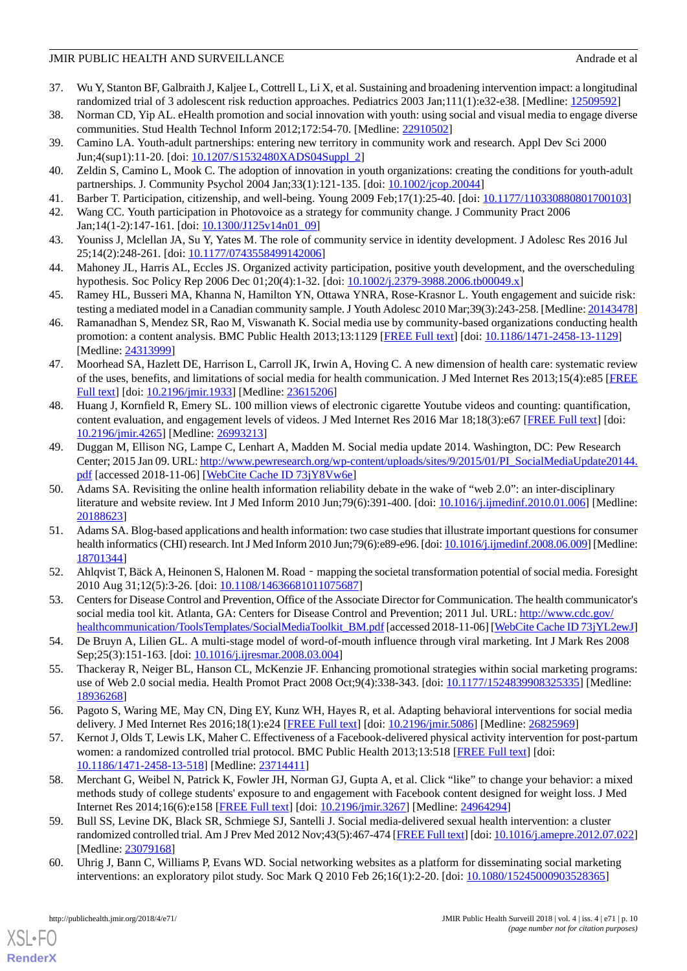- <span id="page-9-0"></span>37. Wu Y, Stanton BF, Galbraith J, Kaljee L, Cottrell L, Li X, et al. Sustaining and broadening intervention impact: a longitudinal randomized trial of 3 adolescent risk reduction approaches. Pediatrics 2003 Jan;111(1):e32-e38. [Medline: [12509592\]](http://www.ncbi.nlm.nih.gov/entrez/query.fcgi?cmd=Retrieve&db=PubMed&list_uids=12509592&dopt=Abstract)
- <span id="page-9-12"></span>38. Norman CD, Yip AL. eHealth promotion and social innovation with youth: using social and visual media to engage diverse communities. Stud Health Technol Inform 2012;172:54-70. [Medline: [22910502\]](http://www.ncbi.nlm.nih.gov/entrez/query.fcgi?cmd=Retrieve&db=PubMed&list_uids=22910502&dopt=Abstract)
- 39. Camino LA. Youth-adult partnerships: entering new territory in community work and research. Appl Dev Sci 2000 Jun;4(sup1):11-20. [doi: [10.1207/S1532480XADS04Suppl\\_2\]](http://dx.doi.org/10.1207/S1532480XADS04Suppl_2)
- 40. Zeldin S, Camino L, Mook C. The adoption of innovation in youth organizations: creating the conditions for youth-adult partnerships. J. Community Psychol 2004 Jan;33(1):121-135. [doi: [10.1002/jcop.20044](http://dx.doi.org/10.1002/jcop.20044)]
- 41. Barber T. Participation, citizenship, and well-being. Young 2009 Feb;17(1):25-40. [doi: [10.1177/110330880801700103\]](http://dx.doi.org/10.1177/110330880801700103)
- 42. Wang CC. Youth participation in Photovoice as a strategy for community change. J Community Pract 2006 Jan;14(1-2):147-161. [doi: [10.1300/J125v14n01\\_09](http://dx.doi.org/10.1300/J125v14n01_09)]
- 43. Youniss J, Mclellan JA, Su Y, Yates M. The role of community service in identity development. J Adolesc Res 2016 Jul 25;14(2):248-261. [doi: [10.1177/0743558499142006\]](http://dx.doi.org/10.1177/0743558499142006)
- <span id="page-9-1"></span>44. Mahoney JL, Harris AL, Eccles JS. Organized activity participation, positive youth development, and the overscheduling hypothesis. Soc Policy Rep 2006 Dec 01;20(4):1-32. [doi: [10.1002/j.2379-3988.2006.tb00049.x](http://dx.doi.org/10.1002/j.2379-3988.2006.tb00049.x)]
- <span id="page-9-2"></span>45. Ramey HL, Busseri MA, Khanna N, Hamilton YN, Ottawa YNRA, Rose-Krasnor L. Youth engagement and suicide risk: testing a mediated model in a Canadian community sample. J Youth Adolesc 2010 Mar;39(3):243-258. [Medline: [20143478](http://www.ncbi.nlm.nih.gov/entrez/query.fcgi?cmd=Retrieve&db=PubMed&list_uids=20143478&dopt=Abstract)]
- <span id="page-9-4"></span>46. Ramanadhan S, Mendez SR, Rao M, Viswanath K. Social media use by community-based organizations conducting health promotion: a content analysis. BMC Public Health 2013;13:1129 [[FREE Full text](http://www.biomedcentral.com/1471-2458/13/1129)] [doi: [10.1186/1471-2458-13-1129\]](http://dx.doi.org/10.1186/1471-2458-13-1129) [Medline: [24313999](http://www.ncbi.nlm.nih.gov/entrez/query.fcgi?cmd=Retrieve&db=PubMed&list_uids=24313999&dopt=Abstract)]
- 47. Moorhead SA, Hazlett DE, Harrison L, Carroll JK, Irwin A, Hoving C. A new dimension of health care: systematic review of the uses, benefits, and limitations of social media for health communication. J Med Internet Res 2013;15(4):e85 [\[FREE](http://www.jmir.org/2013/4/e85/) [Full text\]](http://www.jmir.org/2013/4/e85/) [doi: [10.2196/jmir.1933](http://dx.doi.org/10.2196/jmir.1933)] [Medline: [23615206\]](http://www.ncbi.nlm.nih.gov/entrez/query.fcgi?cmd=Retrieve&db=PubMed&list_uids=23615206&dopt=Abstract)
- <span id="page-9-3"></span>48. Huang J, Kornfield R, Emery SL. 100 million views of electronic cigarette Youtube videos and counting: quantification, content evaluation, and engagement levels of videos. J Med Internet Res 2016 Mar 18;18(3):e67 [\[FREE Full text\]](http://www.jmir.org/2016/3/e67/) [doi: [10.2196/jmir.4265](http://dx.doi.org/10.2196/jmir.4265)] [Medline: [26993213](http://www.ncbi.nlm.nih.gov/entrez/query.fcgi?cmd=Retrieve&db=PubMed&list_uids=26993213&dopt=Abstract)]
- <span id="page-9-5"></span>49. Duggan M, Ellison NG, Lampe C, Lenhart A, Madden M. Social media update 2014. Washington, DC: Pew Research Center; 2015 Jan 09. URL: [http://www.pewresearch.org/wp-content/uploads/sites/9/2015/01/PI\\_SocialMediaUpdate20144.](http://www.pewresearch.org/wp-content/uploads/sites/9/2015/01/PI_SocialMediaUpdate20144.pdf) [pdf](http://www.pewresearch.org/wp-content/uploads/sites/9/2015/01/PI_SocialMediaUpdate20144.pdf) [accessed 2018-11-06] [[WebCite Cache ID 73jY8Vw6e\]](http://www.webcitation.org/

                                73jY8Vw6e)
- 50. Adams SA. Revisiting the online health information reliability debate in the wake of "web 2.0": an inter-disciplinary literature and website review. Int J Med Inform 2010 Jun;79(6):391-400. [doi: [10.1016/j.ijmedinf.2010.01.006\]](http://dx.doi.org/10.1016/j.ijmedinf.2010.01.006) [Medline: [20188623](http://www.ncbi.nlm.nih.gov/entrez/query.fcgi?cmd=Retrieve&db=PubMed&list_uids=20188623&dopt=Abstract)]
- <span id="page-9-6"></span>51. Adams SA. Blog-based applications and health information: two case studies that illustrate important questions for consumer health informatics (CHI) research. Int J Med Inform 2010 Jun;79(6):e89-e96. [doi: [10.1016/j.ijmedinf.2008.06.009](http://dx.doi.org/10.1016/j.ijmedinf.2008.06.009)] [Medline: [18701344](http://www.ncbi.nlm.nih.gov/entrez/query.fcgi?cmd=Retrieve&db=PubMed&list_uids=18701344&dopt=Abstract)]
- <span id="page-9-7"></span>52. Ahlqvist T, Bäck A, Heinonen S, Halonen M. Road‐mapping the societal transformation potential of social media. Foresight 2010 Aug 31;12(5):3-26. [doi: [10.1108/14636681011075687\]](http://dx.doi.org/10.1108/14636681011075687)
- <span id="page-9-8"></span>53. Centers for Disease Control and Prevention, Office of the Associate Director for Communication. The health communicator's social media tool kit. Atlanta, GA: Centers for Disease Control and Prevention; 2011 Jul. URL: [http://www.cdc.gov/](http://www.cdc.gov/healthcommunication/ToolsTemplates/SocialMediaToolkit_BM.pdf) [healthcommunication/ToolsTemplates/SocialMediaToolkit\\_BM.pdf](http://www.cdc.gov/healthcommunication/ToolsTemplates/SocialMediaToolkit_BM.pdf) [accessed 2018-11-06] [[WebCite Cache ID 73jYL2ewJ\]](http://www.webcitation.org/

                                73jYL2ewJ)
- <span id="page-9-9"></span>54. De Bruyn A, Lilien GL. A multi-stage model of word-of-mouth influence through viral marketing. Int J Mark Res 2008 Sep;25(3):151-163. [doi: [10.1016/j.ijresmar.2008.03.004\]](http://dx.doi.org/10.1016/j.ijresmar.2008.03.004)
- <span id="page-9-13"></span>55. Thackeray R, Neiger BL, Hanson CL, McKenzie JF. Enhancing promotional strategies within social marketing programs: use of Web 2.0 social media. Health Promot Pract 2008 Oct;9(4):338-343. [doi: [10.1177/1524839908325335](http://dx.doi.org/10.1177/1524839908325335)] [Medline: [18936268](http://www.ncbi.nlm.nih.gov/entrez/query.fcgi?cmd=Retrieve&db=PubMed&list_uids=18936268&dopt=Abstract)]
- 56. Pagoto S, Waring ME, May CN, Ding EY, Kunz WH, Hayes R, et al. Adapting behavioral interventions for social media delivery. J Med Internet Res 2016;18(1):e24 [\[FREE Full text\]](http://www.jmir.org/2016/1/e24/) [doi: [10.2196/jmir.5086\]](http://dx.doi.org/10.2196/jmir.5086) [Medline: [26825969](http://www.ncbi.nlm.nih.gov/entrez/query.fcgi?cmd=Retrieve&db=PubMed&list_uids=26825969&dopt=Abstract)]
- <span id="page-9-10"></span>57. Kernot J, Olds T, Lewis LK, Maher C. Effectiveness of a Facebook-delivered physical activity intervention for post-partum women: a randomized controlled trial protocol. BMC Public Health 2013;13:518 [\[FREE Full text](http://www.biomedcentral.com/1471-2458/13/518)] [doi: [10.1186/1471-2458-13-518\]](http://dx.doi.org/10.1186/1471-2458-13-518) [Medline: [23714411\]](http://www.ncbi.nlm.nih.gov/entrez/query.fcgi?cmd=Retrieve&db=PubMed&list_uids=23714411&dopt=Abstract)
- <span id="page-9-11"></span>58. Merchant G, Weibel N, Patrick K, Fowler JH, Norman GJ, Gupta A, et al. Click "like" to change your behavior: a mixed methods study of college students' exposure to and engagement with Facebook content designed for weight loss. J Med Internet Res 2014;16(6):e158 [\[FREE Full text](http://www.jmir.org/2014/6/e158/)] [doi: [10.2196/jmir.3267\]](http://dx.doi.org/10.2196/jmir.3267) [Medline: [24964294](http://www.ncbi.nlm.nih.gov/entrez/query.fcgi?cmd=Retrieve&db=PubMed&list_uids=24964294&dopt=Abstract)]
- 59. Bull SS, Levine DK, Black SR, Schmiege SJ, Santelli J. Social media-delivered sexual health intervention: a cluster randomized controlled trial. Am J Prev Med 2012 Nov;43(5):467-474 [[FREE Full text](http://europepmc.org/abstract/MED/23079168)] [doi: [10.1016/j.amepre.2012.07.022\]](http://dx.doi.org/10.1016/j.amepre.2012.07.022) [Medline: [23079168](http://www.ncbi.nlm.nih.gov/entrez/query.fcgi?cmd=Retrieve&db=PubMed&list_uids=23079168&dopt=Abstract)]
- 60. Uhrig J, Bann C, Williams P, Evans WD. Social networking websites as a platform for disseminating social marketing interventions: an exploratory pilot study. Soc Mark Q 2010 Feb 26;16(1):2-20. [doi: [10.1080/15245000903528365\]](http://dx.doi.org/10.1080/15245000903528365)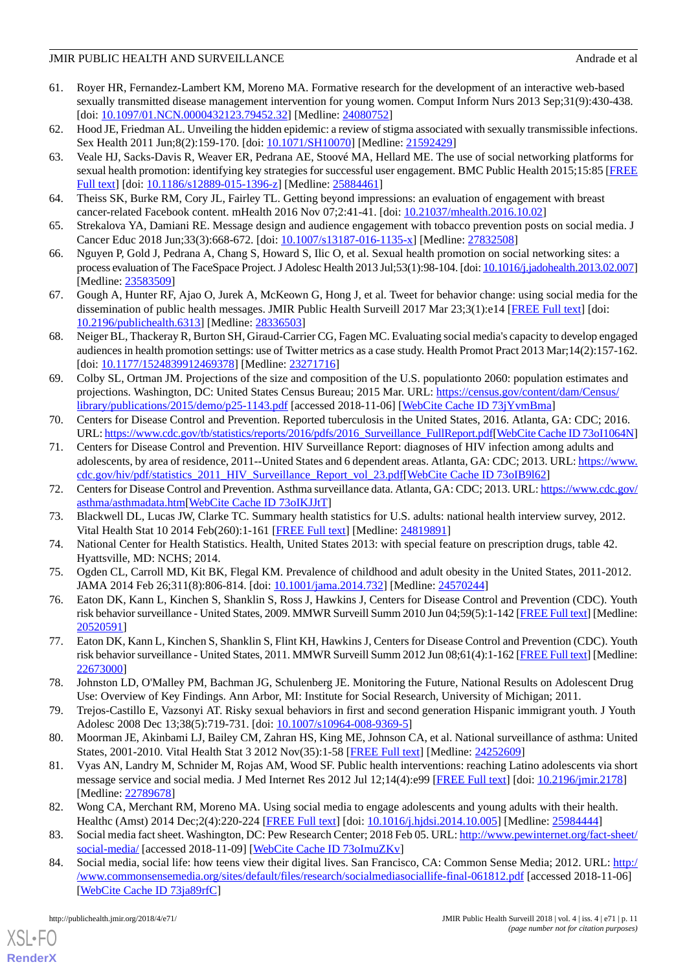- 61. Royer HR, Fernandez-Lambert KM, Moreno MA. Formative research for the development of an interactive web-based sexually transmitted disease management intervention for young women. Comput Inform Nurs 2013 Sep;31(9):430-438. [doi: [10.1097/01.NCN.0000432123.79452.32](http://dx.doi.org/10.1097/01.NCN.0000432123.79452.32)] [Medline: [24080752](http://www.ncbi.nlm.nih.gov/entrez/query.fcgi?cmd=Retrieve&db=PubMed&list_uids=24080752&dopt=Abstract)]
- <span id="page-10-1"></span><span id="page-10-0"></span>62. Hood JE, Friedman AL. Unveiling the hidden epidemic: a review of stigma associated with sexually transmissible infections. Sex Health 2011 Jun;8(2):159-170. [doi: [10.1071/SH10070](http://dx.doi.org/10.1071/SH10070)] [Medline: [21592429](http://www.ncbi.nlm.nih.gov/entrez/query.fcgi?cmd=Retrieve&db=PubMed&list_uids=21592429&dopt=Abstract)]
- 63. Veale HJ, Sacks-Davis R, Weaver ER, Pedrana AE, Stoové MA, Hellard ME. The use of social networking platforms for sexual health promotion: identifying key strategies for successful user engagement. BMC Public Health 2015;15:85 [\[FREE](http://bmcpublichealth.biomedcentral.com/articles/10.1186/s12889-015-1396-z) [Full text\]](http://bmcpublichealth.biomedcentral.com/articles/10.1186/s12889-015-1396-z) [doi: [10.1186/s12889-015-1396-z\]](http://dx.doi.org/10.1186/s12889-015-1396-z) [Medline: [25884461\]](http://www.ncbi.nlm.nih.gov/entrez/query.fcgi?cmd=Retrieve&db=PubMed&list_uids=25884461&dopt=Abstract)
- <span id="page-10-10"></span>64. Theiss SK, Burke RM, Cory JL, Fairley TL. Getting beyond impressions: an evaluation of engagement with breast cancer-related Facebook content. mHealth 2016 Nov 07;2:41-41. [doi: [10.21037/mhealth.2016.10.02](http://dx.doi.org/10.21037/mhealth.2016.10.02)]
- <span id="page-10-9"></span>65. Strekalova YA, Damiani RE. Message design and audience engagement with tobacco prevention posts on social media. J Cancer Educ 2018 Jun;33(3):668-672. [doi: [10.1007/s13187-016-1135-x\]](http://dx.doi.org/10.1007/s13187-016-1135-x) [Medline: [27832508\]](http://www.ncbi.nlm.nih.gov/entrez/query.fcgi?cmd=Retrieve&db=PubMed&list_uids=27832508&dopt=Abstract)
- 66. Nguyen P, Gold J, Pedrana A, Chang S, Howard S, Ilic O, et al. Sexual health promotion on social networking sites: a process evaluation of The FaceSpace Project. J Adolesc Health 2013 Jul;53(1):98-104. [doi: [10.1016/j.jadohealth.2013.02.007\]](http://dx.doi.org/10.1016/j.jadohealth.2013.02.007) [Medline: [23583509](http://www.ncbi.nlm.nih.gov/entrez/query.fcgi?cmd=Retrieve&db=PubMed&list_uids=23583509&dopt=Abstract)]
- <span id="page-10-2"></span>67. Gough A, Hunter RF, Ajao O, Jurek A, McKeown G, Hong J, et al. Tweet for behavior change: using social media for the dissemination of public health messages. JMIR Public Health Surveill 2017 Mar 23;3(1):e14 [\[FREE Full text\]](http://publichealth.jmir.org/2017/1/e14/) [doi: [10.2196/publichealth.6313\]](http://dx.doi.org/10.2196/publichealth.6313) [Medline: [28336503\]](http://www.ncbi.nlm.nih.gov/entrez/query.fcgi?cmd=Retrieve&db=PubMed&list_uids=28336503&dopt=Abstract)
- <span id="page-10-3"></span>68. Neiger BL, Thackeray R, Burton SH, Giraud-Carrier CG, Fagen MC. Evaluating social media's capacity to develop engaged audiences in health promotion settings: use of Twitter metrics as a case study. Health Promot Pract 2013 Mar;14(2):157-162. [doi: [10.1177/1524839912469378](http://dx.doi.org/10.1177/1524839912469378)] [Medline: [23271716\]](http://www.ncbi.nlm.nih.gov/entrez/query.fcgi?cmd=Retrieve&db=PubMed&list_uids=23271716&dopt=Abstract)
- <span id="page-10-4"></span>69. Colby SL, Ortman JM. Projections of the size and composition of the U.S. populationto 2060: population estimates and projections. Washington, DC: United States Census Bureau; 2015 Mar. URL: [https://census.gov/content/dam/Census/](https://census.gov/content/dam/Census/library/publications/2015/demo/p25-1143.pdf) [library/publications/2015/demo/p25-1143.pdf](https://census.gov/content/dam/Census/library/publications/2015/demo/p25-1143.pdf) [accessed 2018-11-06] [[WebCite Cache ID 73jYvmBma](http://www.webcitation.org/

                                73jYvmBma)]
- 70. Centers for Disease Control and Prevention. Reported tuberculosis in the United States, 2016. Atlanta, GA: CDC; 2016. URL: [https://www.cdc.gov/tb/statistics/reports/2016/pdfs/2016\\_Surveillance\\_FullReport.pdf](https://www.cdc.gov/tb/statistics/reports/2016/pdfs/2016_Surveillance_FullReport.pdf)[\[WebCite Cache ID 73oI1064N\]](http://www.webcitation.org/

                                73oI1064N)
- 71. Centers for Disease Control and Prevention. HIV Surveillance Report: diagnoses of HIV infection among adults and adolescents, by area of residence, 2011--United States and 6 dependent areas. Atlanta, GA: CDC; 2013. URL: [https://www.](https://www.cdc.gov/hiv/pdf/statistics_2011_HIV_Surveillance_Report_vol_23.pdf) [cdc.gov/hiv/pdf/statistics\\_2011\\_HIV\\_Surveillance\\_Report\\_vol\\_23.pdf\[](https://www.cdc.gov/hiv/pdf/statistics_2011_HIV_Surveillance_Report_vol_23.pdf)[WebCite Cache ID 73oIB9l62\]](http://www.webcitation.org/

                                73oIB9l62)
- 72. Centers for Disease Control and Prevention. Asthma surveillance data. Atlanta, GA: CDC; 2013. URL: [https://www.cdc.gov/](https://www.cdc.gov/asthma/asthmadata.htm) [asthma/asthmadata.htm\[](https://www.cdc.gov/asthma/asthmadata.htm)[WebCite Cache ID 73oIKJJtT](http://www.webcitation.org/

                                73oIKJJtT)]
- 73. Blackwell DL, Lucas JW, Clarke TC. Summary health statistics for U.S. adults: national health interview survey, 2012. Vital Health Stat 10 2014 Feb(260):1-161 [\[FREE Full text\]](http://www.cdc.gov/nchs/data/series/sr_10/sr10_260.pdf) [Medline: [24819891](http://www.ncbi.nlm.nih.gov/entrez/query.fcgi?cmd=Retrieve&db=PubMed&list_uids=24819891&dopt=Abstract)]
- 74. National Center for Health Statistics. Health, United States 2013: with special feature on prescription drugs, table 42. Hyattsville, MD: NCHS; 2014.
- 75. Ogden CL, Carroll MD, Kit BK, Flegal KM. Prevalence of childhood and adult obesity in the United States, 2011-2012. JAMA 2014 Feb 26;311(8):806-814. [doi: [10.1001/jama.2014.732](http://dx.doi.org/10.1001/jama.2014.732)] [Medline: [24570244](http://www.ncbi.nlm.nih.gov/entrez/query.fcgi?cmd=Retrieve&db=PubMed&list_uids=24570244&dopt=Abstract)]
- 76. Eaton DK, Kann L, Kinchen S, Shanklin S, Ross J, Hawkins J, Centers for Disease Control and Prevention (CDC). Youth risk behavior surveillance - United States, 2009. MMWR Surveill Summ 2010 Jun 04;59(5):1-142 [[FREE Full text\]](https://www.cdc.gov/mmwr/preview/mmwrhtml/ss5905a1.htm) [Medline: [20520591](http://www.ncbi.nlm.nih.gov/entrez/query.fcgi?cmd=Retrieve&db=PubMed&list_uids=20520591&dopt=Abstract)]
- <span id="page-10-7"></span>77. Eaton DK, Kann L, Kinchen S, Shanklin S, Flint KH, Hawkins J, Centers for Disease Control and Prevention (CDC). Youth risk behavior surveillance - United States, 2011. MMWR Surveill Summ 2012 Jun 08;61(4):1-162 [[FREE Full text\]](https://www.cdc.gov/mmwr/preview/mmwrhtml/ss6104a1.htm) [Medline: [22673000](http://www.ncbi.nlm.nih.gov/entrez/query.fcgi?cmd=Retrieve&db=PubMed&list_uids=22673000&dopt=Abstract)]
- <span id="page-10-6"></span><span id="page-10-5"></span>78. Johnston LD, O'Malley PM, Bachman JG, Schulenberg JE. Monitoring the Future, National Results on Adolescent Drug Use: Overview of Key Findings. Ann Arbor, MI: Institute for Social Research, University of Michigan; 2011.
- 79. Trejos-Castillo E, Vazsonyi AT. Risky sexual behaviors in first and second generation Hispanic immigrant youth. J Youth Adolesc 2008 Dec 13;38(5):719-731. [doi: [10.1007/s10964-008-9369-5\]](http://dx.doi.org/10.1007/s10964-008-9369-5)
- <span id="page-10-8"></span>80. Moorman JE, Akinbami LJ, Bailey CM, Zahran HS, King ME, Johnson CA, et al. National surveillance of asthma: United States, 2001-2010. Vital Health Stat 3 2012 Nov(35):1-58 [[FREE Full text\]](https://www.cdc.gov/nchs/data/series/sr_03/sr03_035.pdf) [Medline: [24252609\]](http://www.ncbi.nlm.nih.gov/entrez/query.fcgi?cmd=Retrieve&db=PubMed&list_uids=24252609&dopt=Abstract)
- 81. Vyas AN, Landry M, Schnider M, Rojas AM, Wood SF. Public health interventions: reaching Latino adolescents via short message service and social media. J Med Internet Res 2012 Jul 12;14(4):e99 [\[FREE Full text\]](http://www.jmir.org/2012/4/e99/) [doi: [10.2196/jmir.2178\]](http://dx.doi.org/10.2196/jmir.2178) [Medline: [22789678](http://www.ncbi.nlm.nih.gov/entrez/query.fcgi?cmd=Retrieve&db=PubMed&list_uids=22789678&dopt=Abstract)]
- 82. Wong CA, Merchant RM, Moreno MA. Using social media to engage adolescents and young adults with their health. Healthc (Amst) 2014 Dec;2(4):220-224 [[FREE Full text](http://europepmc.org/abstract/MED/25984444)] [doi: [10.1016/j.hjdsi.2014.10.005](http://dx.doi.org/10.1016/j.hjdsi.2014.10.005)] [Medline: [25984444\]](http://www.ncbi.nlm.nih.gov/entrez/query.fcgi?cmd=Retrieve&db=PubMed&list_uids=25984444&dopt=Abstract)
- 83. Social media fact sheet. Washington, DC: Pew Research Center; 2018 Feb 05. URL: [http://www.pewinternet.org/fact-sheet/](http://www.pewinternet.org/fact-sheet/social-media/) [social-media/](http://www.pewinternet.org/fact-sheet/social-media/) [accessed 2018-11-09] [[WebCite Cache ID 73oImuZKv\]](http://www.webcitation.org/

                                73oImuZKv)
- 84. Social media, social life: how teens view their digital lives. San Francisco, CA: Common Sense Media; 2012. URL: [http:/](http://www.commonsensemedia.org/sites/default/files/research/socialmediasociallife-final-061812.pdf) [/www.commonsensemedia.org/sites/default/files/research/socialmediasociallife-final-061812.pdf](http://www.commonsensemedia.org/sites/default/files/research/socialmediasociallife-final-061812.pdf) [accessed 2018-11-06] [[WebCite Cache ID 73ja89rfC](http://www.webcitation.org/

                                73ja89rfC)]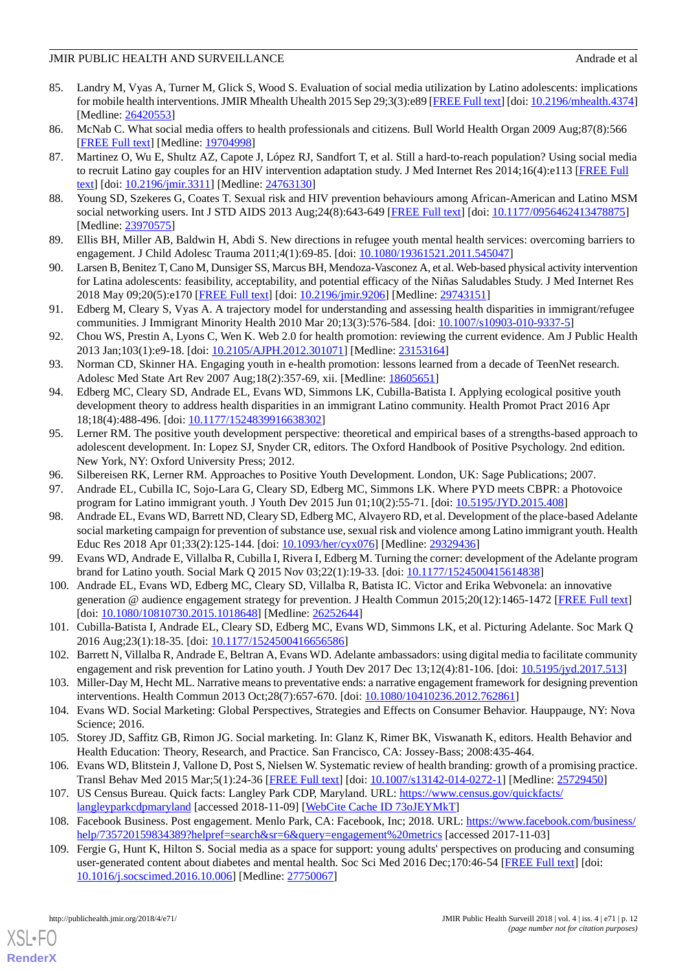- 85. Landry M, Vyas A, Turner M, Glick S, Wood S. Evaluation of social media utilization by Latino adolescents: implications for mobile health interventions. JMIR Mhealth Uhealth 2015 Sep 29;3(3):e89 [\[FREE Full text](http://mhealth.jmir.org/2015/3/e89/)] [doi: [10.2196/mhealth.4374\]](http://dx.doi.org/10.2196/mhealth.4374) [Medline: [26420553](http://www.ncbi.nlm.nih.gov/entrez/query.fcgi?cmd=Retrieve&db=PubMed&list_uids=26420553&dopt=Abstract)]
- 86. McNab C. What social media offers to health professionals and citizens. Bull World Health Organ 2009 Aug;87(8):566 [[FREE Full text](http://www.scielosp.org/scielo.php?script=sci_arttext&pid=S0042-96862009000800002&lng=en&nrm=iso&tlng=en)] [Medline: [19704998](http://www.ncbi.nlm.nih.gov/entrez/query.fcgi?cmd=Retrieve&db=PubMed&list_uids=19704998&dopt=Abstract)]
- 87. Martinez O, Wu E, Shultz AZ, Capote J, López RJ, Sandfort T, et al. Still a hard-to-reach population? Using social media to recruit Latino gay couples for an HIV intervention adaptation study. J Med Internet Res 2014;16(4):e113 [[FREE Full](http://www.jmir.org/2014/4/e113/) [text](http://www.jmir.org/2014/4/e113/)] [doi: [10.2196/jmir.3311](http://dx.doi.org/10.2196/jmir.3311)] [Medline: [24763130](http://www.ncbi.nlm.nih.gov/entrez/query.fcgi?cmd=Retrieve&db=PubMed&list_uids=24763130&dopt=Abstract)]
- 88. Young SD, Szekeres G, Coates T. Sexual risk and HIV prevention behaviours among African-American and Latino MSM social networking users. Int J STD AIDS 2013 Aug;24(8):643-649 [\[FREE Full text\]](http://europepmc.org/abstract/MED/23970575) [doi: [10.1177/0956462413478875](http://dx.doi.org/10.1177/0956462413478875)] [Medline: [23970575](http://www.ncbi.nlm.nih.gov/entrez/query.fcgi?cmd=Retrieve&db=PubMed&list_uids=23970575&dopt=Abstract)]
- <span id="page-11-0"></span>89. Ellis BH, Miller AB, Baldwin H, Abdi S. New directions in refugee youth mental health services: overcoming barriers to engagement. J Child Adolesc Trauma 2011;4(1):69-85. [doi: [10.1080/19361521.2011.545047\]](http://dx.doi.org/10.1080/19361521.2011.545047)
- <span id="page-11-1"></span>90. Larsen B, Benitez T, Cano M, Dunsiger SS, Marcus BH, Mendoza-Vasconez A, et al. Web-based physical activity intervention for Latina adolescents: feasibility, acceptability, and potential efficacy of the Niñas Saludables Study. J Med Internet Res 2018 May 09;20(5):e170 [\[FREE Full text\]](http://www.jmir.org/2018/5/e170/) [doi: [10.2196/jmir.9206\]](http://dx.doi.org/10.2196/jmir.9206) [Medline: [29743151\]](http://www.ncbi.nlm.nih.gov/entrez/query.fcgi?cmd=Retrieve&db=PubMed&list_uids=29743151&dopt=Abstract)
- 91. Edberg M, Cleary S, Vyas A. A trajectory model for understanding and assessing health disparities in immigrant/refugee communities. J Immigrant Minority Health 2010 Mar 20;13(3):576-584. [doi: [10.1007/s10903-010-9337-5](http://dx.doi.org/10.1007/s10903-010-9337-5)]
- <span id="page-11-2"></span>92. Chou WS, Prestin A, Lyons C, Wen K. Web 2.0 for health promotion: reviewing the current evidence. Am J Public Health 2013 Jan;103(1):e9-18. [doi: [10.2105/AJPH.2012.301071\]](http://dx.doi.org/10.2105/AJPH.2012.301071) [Medline: [23153164\]](http://www.ncbi.nlm.nih.gov/entrez/query.fcgi?cmd=Retrieve&db=PubMed&list_uids=23153164&dopt=Abstract)
- <span id="page-11-3"></span>93. Norman CD, Skinner HA. Engaging youth in e-health promotion: lessons learned from a decade of TeenNet research. Adolesc Med State Art Rev 2007 Aug;18(2):357-69, xii. [Medline: [18605651](http://www.ncbi.nlm.nih.gov/entrez/query.fcgi?cmd=Retrieve&db=PubMed&list_uids=18605651&dopt=Abstract)]
- <span id="page-11-4"></span>94. Edberg MC, Cleary SD, Andrade EL, Evans WD, Simmons LK, Cubilla-Batista I. Applying ecological positive youth development theory to address health disparities in an immigrant Latino community. Health Promot Pract 2016 Apr 18;18(4):488-496. [doi: [10.1177/1524839916638302\]](http://dx.doi.org/10.1177/1524839916638302)
- <span id="page-11-6"></span><span id="page-11-5"></span>95. Lerner RM. The positive youth development perspective: theoretical and empirical bases of a strengths-based approach to adolescent development. In: Lopez SJ, Snyder CR, editors. The Oxford Handbook of Positive Psychology. 2nd edition. New York, NY: Oxford University Press; 2012.
- <span id="page-11-7"></span>96. Silbereisen RK, Lerner RM. Approaches to Positive Youth Development. London, UK: Sage Publications; 2007.
- 97. Andrade EL, Cubilla IC, Sojo-Lara G, Cleary SD, Edberg MC, Simmons LK. Where PYD meets CBPR: a Photovoice program for Latino immigrant youth. J Youth Dev 2015 Jun 01;10(2):55-71. [doi: [10.5195/JYD.2015.408\]](http://dx.doi.org/10.5195/JYD.2015.408)
- 98. Andrade EL, Evans WD, Barrett ND, Cleary SD, Edberg MC, Alvayero RD, et al. Development of the place-based Adelante social marketing campaign for prevention of substance use, sexual risk and violence among Latino immigrant youth. Health Educ Res 2018 Apr 01;33(2):125-144. [doi: [10.1093/her/cyx076\]](http://dx.doi.org/10.1093/her/cyx076) [Medline: [29329436](http://www.ncbi.nlm.nih.gov/entrez/query.fcgi?cmd=Retrieve&db=PubMed&list_uids=29329436&dopt=Abstract)]
- 99. Evans WD, Andrade E, Villalba R, Cubilla I, Rivera I, Edberg M. Turning the corner: development of the Adelante program brand for Latino youth. Social Mark Q 2015 Nov 03;22(1):19-33. [doi: [10.1177/1524500415614838](http://dx.doi.org/10.1177/1524500415614838)]
- <span id="page-11-11"></span>100. Andrade EL, Evans WD, Edberg MC, Cleary SD, Villalba R, Batista IC. Victor and Erika Webvonela: an innovative generation @ audience engagement strategy for prevention. J Health Commun 2015;20(12):1465-1472 [[FREE Full text](http://europepmc.org/abstract/MED/26252644)] [doi: [10.1080/10810730.2015.1018648](http://dx.doi.org/10.1080/10810730.2015.1018648)] [Medline: [26252644\]](http://www.ncbi.nlm.nih.gov/entrez/query.fcgi?cmd=Retrieve&db=PubMed&list_uids=26252644&dopt=Abstract)
- <span id="page-11-9"></span><span id="page-11-8"></span>101. Cubilla-Batista I, Andrade EL, Cleary SD, Edberg MC, Evans WD, Simmons LK, et al. Picturing Adelante. Soc Mark Q 2016 Aug; 23(1): 18-35. [doi: [10.1177/1524500416656586](http://dx.doi.org/10.1177/1524500416656586)]
- 102. Barrett N, Villalba R, Andrade E, Beltran A, Evans WD. Adelante ambassadors: using digital media to facilitate community engagement and risk prevention for Latino youth. J Youth Dev 2017 Dec 13;12(4):81-106. [doi: [10.5195/jyd.2017.513\]](http://dx.doi.org/10.5195/jyd.2017.513)
- <span id="page-11-10"></span>103. Miller-Day M, Hecht ML. Narrative means to preventative ends: a narrative engagement framework for designing prevention interventions. Health Commun 2013 Oct;28(7):657-670. [doi: [10.1080/10410236.2012.762861\]](http://dx.doi.org/10.1080/10410236.2012.762861)
- <span id="page-11-12"></span>104. Evans WD. Social Marketing: Global Perspectives, Strategies and Effects on Consumer Behavior. Hauppauge, NY: Nova Science; 2016.
- <span id="page-11-13"></span>105. Storey JD, Saffitz GB, Rimon JG. Social marketing. In: Glanz K, Rimer BK, Viswanath K, editors. Health Behavior and Health Education: Theory, Research, and Practice. San Francisco, CA: Jossey-Bass; 2008:435-464.
- <span id="page-11-14"></span>106. Evans WD, Blitstein J, Vallone D, Post S, Nielsen W. Systematic review of health branding: growth of a promising practice. Transl Behav Med 2015 Mar;5(1):24-36 [\[FREE Full text\]](http://europepmc.org/abstract/MED/25729450) [doi: [10.1007/s13142-014-0272-1](http://dx.doi.org/10.1007/s13142-014-0272-1)] [Medline: [25729450](http://www.ncbi.nlm.nih.gov/entrez/query.fcgi?cmd=Retrieve&db=PubMed&list_uids=25729450&dopt=Abstract)]
- 107. US Census Bureau. Quick facts: Langley Park CDP, Maryland. URL: [https://www.census.gov/quickfacts/](https://www.census.gov/quickfacts/langleyparkcdpmaryland) [langleyparkcdpmaryland](https://www.census.gov/quickfacts/langleyparkcdpmaryland) [accessed 2018-11-09] [[WebCite Cache ID 73oJEYMkT\]](http://www.webcitation.org/

                                73oJEYMkT)
- 108. Facebook Business. Post engagement. Menlo Park, CA: Facebook, Inc; 2018. URL: [https://www.facebook.com/business/](https://www.facebook.com/business/help/735720159834389?helpref=search&sr=6&query=engagement%20metrics) [help/735720159834389?helpref=search&sr=6&query=engagement%20metrics](https://www.facebook.com/business/help/735720159834389?helpref=search&sr=6&query=engagement%20metrics) [accessed 2017-11-03]
- 109. Fergie G, Hunt K, Hilton S. Social media as a space for support: young adults' perspectives on producing and consuming user-generated content about diabetes and mental health. Soc Sci Med 2016 Dec;170:46-54 [[FREE Full text](https://linkinghub.elsevier.com/retrieve/pii/S0277-9536(16)30565-2)] [doi: [10.1016/j.socscimed.2016.10.006](http://dx.doi.org/10.1016/j.socscimed.2016.10.006)] [Medline: [27750067](http://www.ncbi.nlm.nih.gov/entrez/query.fcgi?cmd=Retrieve&db=PubMed&list_uids=27750067&dopt=Abstract)]